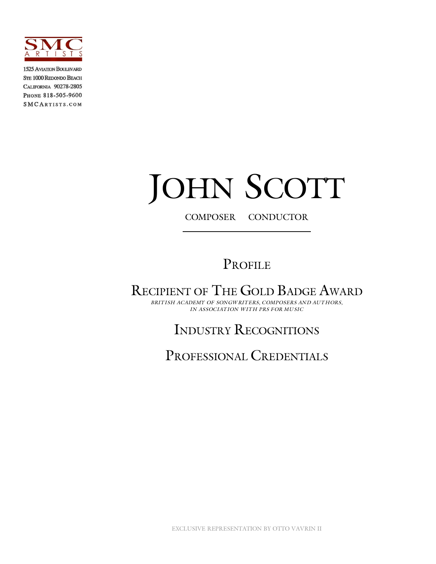

**1525 AVIATION BOULEVARD** STE 1000 REDONDO BEACH CALIFORNIA 90278-2805 PHONE 818-505-9600 **SMCARTISTS.COM** 

# JOHN SCOTT

COMPOSER CONDUCTOR

# PROFILE

RECIPIENT OF THE GOLD BADGE AWARD

*BRITISH ACADEMY OF SONGWRITERS, COMPOSERS AND AUTHORS, IN ASSOCIATION WITH PRS FOR MUSIC*

# INDUSTRY RECOGNITIONS

PROFESSIONAL CREDENTIALS

EXCLUSIVE REPRESENTATION BY OTTO VAVRIN II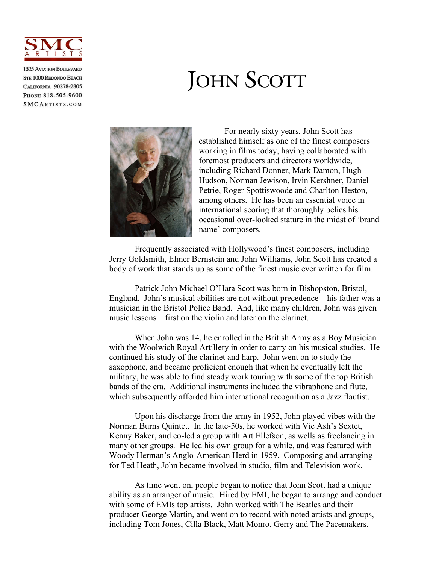

**1525 AVIATION BOULEVARD STE 1000 REDONDO BEACH CALIFORNIA 90278-2805** PHONE 818-505-9600 SMCARTISTS.COM

# JOHN SCOTT



For nearly sixty years, John Scott has established himself as one of the finest composers working in films today, having collaborated with foremost producers and directors worldwide, including Richard Donner, Mark Damon, Hugh Hudson, Norman Jewison, Irvin Kershner, Daniel Petrie, Roger Spottiswoode and Charlton Heston, among others. He has been an essential voice in international scoring that thoroughly belies his occasional over-looked stature in the midst of 'brand name' composers.

Frequently associated with Hollywood's finest composers, including Jerry Goldsmith, Elmer Bernstein and John Williams, John Scott has created a body of work that stands up as some of the finest music ever written for film.

Patrick John Michael O'Hara Scott was born in Bishopston, Bristol, England. John's musical abilities are not without precedence—his father was a musician in the Bristol Police Band. And, like many children, John was given music lessons—first on the violin and later on the clarinet.

When John was 14, he enrolled in the British Army as a Boy Musician with the Woolwich Royal Artillery in order to carry on his musical studies. He continued his study of the clarinet and harp. John went on to study the saxophone, and became proficient enough that when he eventually left the military, he was able to find steady work touring with some of the top British bands of the era. Additional instruments included the vibraphone and flute, which subsequently afforded him international recognition as a Jazz flautist.

Upon his discharge from the army in 1952, John played vibes with the Norman Burns Quintet. In the late-50s, he worked with Vic Ash's Sextet, Kenny Baker, and co-led a group with Art Ellefson, as wells as freelancing in many other groups. He led his own group for a while, and was featured with Woody Herman's Anglo-American Herd in 1959. Composing and arranging for Ted Heath, John became involved in studio, film and Television work.

As time went on, people began to notice that John Scott had a unique ability as an arranger of music. Hired by EMI, he began to arrange and conduct with some of EMIs top artists. John worked with The Beatles and their producer George Martin, and went on to record with noted artists and groups, including Tom Jones, Cilla Black, Matt Monro, Gerry and The Pacemakers,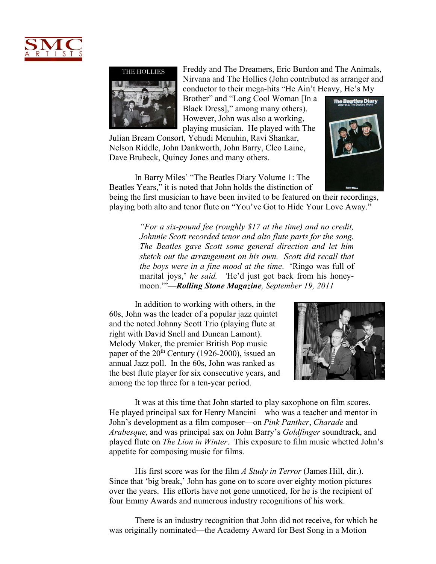



Freddy and The Dreamers, Eric Burdon and The Animals, Nirvana and The Hollies (John contributed as arranger and conductor to their mega-hits "He Ain't Heavy, He's My

Brother" and "Long Cool Woman [In a Black Dress]," among many others). However, John was also a working, playing musician. He played with The

Julian Bream Consort, Yehudi Menuhin, Ravi Shankar, Nelson Riddle, John Dankworth, John Barry, Cleo Laine, Dave Brubeck, Quincy Jones and many others.



In Barry Miles' "The Beatles Diary Volume 1: The Beatles Years," it is noted that John holds the distinction of

being the first musician to have been invited to be featured on their recordings, playing both alto and tenor flute on "You've Got to Hide Your Love Away."

> *"For a six-pound fee (roughly \$17 at the time) and no credit, Johnnie Scott recorded tenor and alto flute parts for the song. The Beatles gave Scott some general direction and let him sketch out the arrangement on his own. Scott did recall that the boys were in a fine mood at the time*. 'Ringo was full of marital joys,' *he said. '*He'd just got back from his honeymoon.'"—*Rolling Stone Magazine, September 19, 2011*

In addition to working with others, in the 60s, John was the leader of a popular jazz quintet and the noted Johnny Scott Trio (playing flute at right with David Snell and Duncan Lamont). Melody Maker, the premier British Pop music paper of the  $20<sup>th</sup>$  Century (1926-2000), issued an annual Jazz poll. In the 60s, John was ranked as the best flute player for six consecutive years, and among the top three for a ten-year period.



It was at this time that John started to play saxophone on film scores. He played principal sax for Henry Mancini—who was a teacher and mentor in John's development as a film composer—on *Pink Panther*, *Charade* and *Arabesque*, and was principal sax on John Barry's *Goldfinger* soundtrack, and played flute on *The Lion in Winter*. This exposure to film music whetted John's appetite for composing music for films.

His first score was for the film *A Study in Terror* (James Hill, dir.). Since that 'big break,' John has gone on to score over eighty motion pictures over the years. His efforts have not gone unnoticed, for he is the recipient of four Emmy Awards and numerous industry recognitions of his work.

There is an industry recognition that John did not receive, for which he was originally nominated—the Academy Award for Best Song in a Motion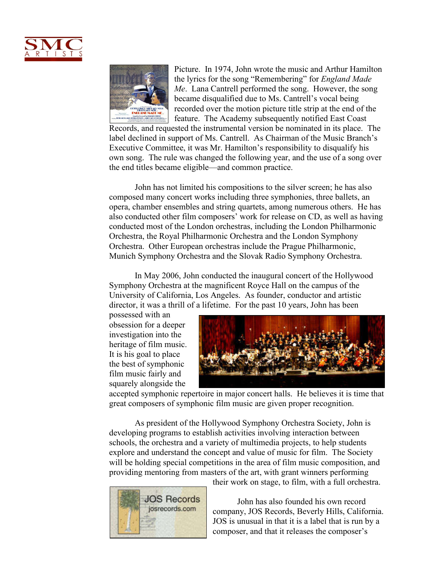



Picture. In 1974, John wrote the music and Arthur Hamilton the lyrics for the song "Remembering" for *England Made Me*. Lana Cantrell performed the song. However, the song became disqualified due to Ms. Cantrell's vocal being recorded over the motion picture title strip at the end of the feature. The Academy subsequently notified East Coast

Records, and requested the instrumental version be nominated in its place. The label declined in support of Ms. Cantrell. As Chairman of the Music Branch's Executive Committee, it was Mr. Hamilton's responsibility to disqualify his own song. The rule was changed the following year, and the use of a song over the end titles became eligible—and common practice.

John has not limited his compositions to the silver screen; he has also composed many concert works including three symphonies, three ballets, an opera, chamber ensembles and string quartets, among numerous others. He has also conducted other film composers' work for release on CD, as well as having conducted most of the London orchestras, including the London Philharmonic Orchestra, the Royal Philharmonic Orchestra and the London Symphony Orchestra. Other European orchestras include the Prague Philharmonic, Munich Symphony Orchestra and the Slovak Radio Symphony Orchestra.

In May 2006, John conducted the inaugural concert of the Hollywood Symphony Orchestra at the magnificent Royce Hall on the campus of the University of California, Los Angeles. As founder, conductor and artistic director, it was a thrill of a lifetime. For the past 10 years, John has been

possessed with an obsession for a deeper investigation into the heritage of film music. It is his goal to place the best of symphonic film music fairly and squarely alongside the



accepted symphonic repertoire in major concert halls. He believes it is time that great composers of symphonic film music are given proper recognition.

As president of the Hollywood Symphony Orchestra Society, John is developing programs to establish activities involving interaction between schools, the orchestra and a variety of multimedia projects, to help students explore and understand the concept and value of music for film. The Society will be holding special competitions in the area of film music composition, and providing mentoring from masters of the art, with grant winners performing



their work on stage, to film, with a full orchestra.

John has also founded his own record company, JOS Records, Beverly Hills, California. JOS is unusual in that it is a label that is run by a composer, and that it releases the composer's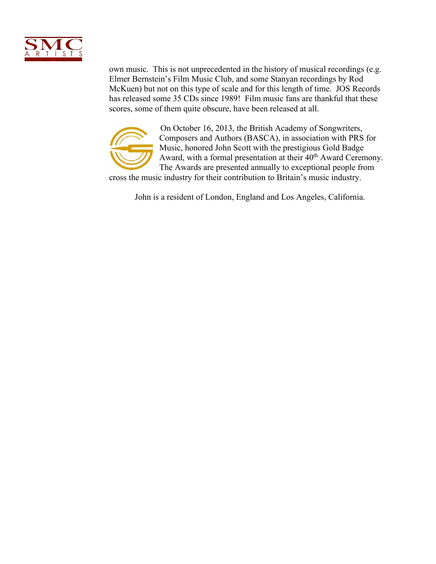

own music. This is not unprecedented in the history of musical recordings (e.g. Elmer Bernstein's Film Music Club, and some Stanyan recordings by Rod McKuen) but not on this type of scale and for this length of time. JOS Records has released some 35 CDs since 1989! Film music fans are thankful that these scores, some of them quite obscure, have been released at all.



On October 16, 2013, the British Academy of Songwriters, Composers and Authors (BASCA), in association with PRS for Music, honored John Scott with the prestigious Gold Badge Award, with a formal presentation at their 40<sup>th</sup> Award Ceremony. The Awards are presented annually to exceptional people from

cross the music industry for their contribution to Britain's music industry.

John is a resident of London, England and Los Angeles, California.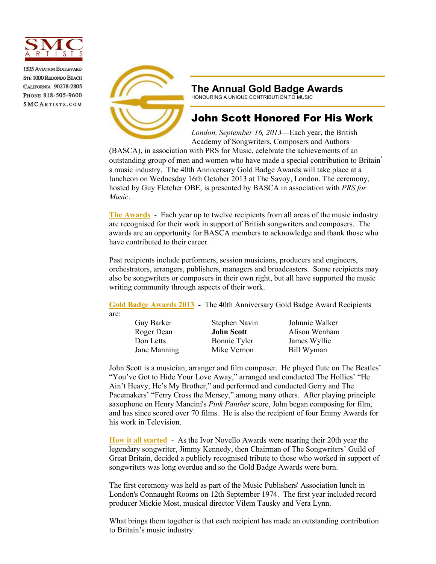

**1525 AVIATION BOULEVARD STE 1000 REDONDO BEACH CALIFORNIA 90278-2805** PHONE 818-505-9600 SMCARTISTS.COM



### **The Annual Gold Badge Awards**

HONOURING A UNIQUE CONTRIBUTION TO MUSIC

## John Scott Honored For His Work

*London, September 16, 2013*—Each year, the British Academy of Songwriters, Composers and Authors

(BASCA), in association with PRS for Music, celebrate the achievements of an outstanding group of men and women who have made a special contribution to Britain' s music industry. The 40th Anniversary Gold Badge Awards will take place at a luncheon on Wednesday 16th October 2013 at The Savoy, London. The ceremony, hosted by Guy Fletcher OBE, is presented by BASCA in association with *PRS for Music*.

**The Awards** - Each year up to twelve recipients from all areas of the music industry are recognised for their work in support of British songwriters and composers. The awards are an opportunity for BASCA members to acknowledge and thank those who have contributed to their career.

Past recipients include performers, session musicians, producers and engineers, orchestrators, arrangers, publishers, managers and broadcasters. Some recipients may also be songwriters or composers in their own right, but all have supported the music writing community through aspects of their work.

**Gold Badge Awards 2013** - The 40th Anniversary Gold Badge Award Recipients are:

Guy Barker Stephen Navin Johnnie Walker

Don Letts Bonnie Tyler James Wyllie Jane Manning Mike Vernon Bill Wyman

Roger Dean **John Scott** Alison Wenham

John Scott is a musician, arranger and film composer. He played flute on The Beatles' "You've Got to Hide Your Love Away," arranged and conducted The Hollies' "He Ain't Heavy, He's My Brother," and performed and conducted Gerry and The Pacemakers' "Ferry Cross the Mersey," among many others. After playing principle saxophone on Henry Mancini's *Pink Panther* score, John began composing for film, and has since scored over 70 films. He is also the recipient of four Emmy Awards for his work in Television.

**How it all started** - As the Ivor Novello Awards were nearing their 20th year the legendary songwriter, Jimmy Kennedy, then Chairman of The Songwriters' Guild of Great Britain, decided a publicly recognised tribute to those who worked in support of songwriters was long overdue and so the Gold Badge Awards were born.

The first ceremony was held as part of the Music Publishers' Association lunch in London's Connaught Rooms on 12th September 1974. The first year included record producer Mickie Most, musical director Vilem Tausky and Vera Lynn.

What brings them together is that each recipient has made an outstanding contribution to Britain's music industry.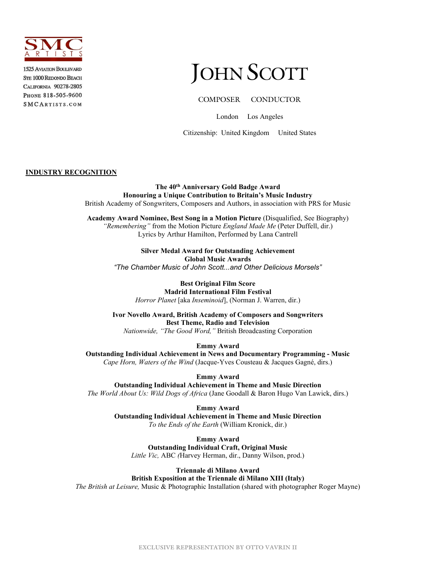

**1525 AVIATION BOULEVARD STE 1000 REDONDO BEACH CALIFORNIA 90278-2805** PHONE 818-505-9600 SMCARTISTS.COM

# JOHN SCOTT

#### COMPOSER CONDUCTOR

London Los Angeles

Citizenship: United Kingdom United States

#### **INDUSTRY RECOGNITION**

**The 40th Anniversary Gold Badge Award Honouring a Unique Contribution to Britain's Music Industry** British Academy of Songwriters, Composers and Authors, in association with PRS for Music

**Academy Award Nominee, Best Song in a Motion Picture** (Disqualified, See Biography) *"Remembering"* from the Motion Picture *England Made Me* (Peter Duffell, dir.) Lyrics by Arthur Hamilton, Performed by Lana Cantrell

> **Silver Medal Award for Outstanding Achievement Global Music Awards** *"The Chamber Music of John Scott...and Other Delicious Morsels"*

**Best Original Film Score Madrid International Film Festival** *Horror Planet* [aka *Inseminoid*], (Norman J. Warren, dir.)

**Ivor Novello Award, British Academy of Composers and Songwriters Best Theme, Radio and Television** *Nationwide, "The Good Word,"* British Broadcasting Corporation

**Emmy Award**

**Outstanding Individual Achievement in News and Documentary Programming - Music** *Cape Horn, Waters of the Wind* (Jacque-Yves Cousteau & Jacques Gagné, dirs.)

**Emmy Award**

**Outstanding Individual Achievement in Theme and Music Direction** *The World About Us: Wild Dogs of Africa* (Jane Goodall & Baron Hugo Van Lawick, dirs.)

> **Emmy Award Outstanding Individual Achievement in Theme and Music Direction** *To the Ends of the Earth* (William Kronick, dir.)

**Emmy Award Outstanding Individual Craft, Original Music** *Little Vic,* ABC *(*Harvey Herman, dir., Danny Wilson, prod.)

### **Triennale di Milano Award**

**British Exposition at the Triennale di Milano XIII (Italy)** *The British at Leisure,* Music & Photographic Installation (shared with photographer Roger Mayne)

**EXCLUSIVE REPRESENTATION BY OTTO VAVRIN II**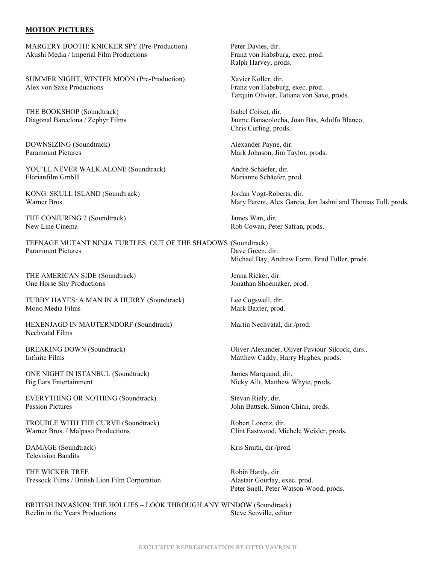#### **MOTION PICTURES**

MARGERY BOOTH: KNICKER SPY (Pre-Production) Peter Davies, dir.<br>Akushi Media / Imperial Film Productions Prometer Pranz von Habsburg, exec. prod. Akushi Media / Imperial Film Productions

SUMMER NIGHT, WINTER MOON (Pre-Production) Xavier Koller, dir. Alex von Saxe Productions Franz von Habsburg, exec. prod.

THE BOOKSHOP (Soundtrack) Isabel Coixet, dir.

DOWNSIZING (Soundtrack) and the metal of the Alexander Payne, dir.<br>
Paramount Pictures and Table 1999 and Mark Johnson. Jim Ta

YOU'LL NEVER WALK ALONE (Soundtrack) André Schäefer, dir.<br>Florianfilm GmbH<br>Marianne Schäefer.

KONG: SKULL ISLAND (Soundtrack) Jordan Vogt-Roberts, dir.

THE CONJURING 2 (Soundtrack) James Wan, dir. New Line Cinema Rob Cowan, Peter Safran, prods.

TEENAGE MUTANT NINJA TURTLES: OUT OF THE SHADOWS (Soundtrack)<br>Paramount Pictures Dave Green

THE AMERICAN SIDE (Soundtrack) Jenna Ricker, dir. One Horse Shy Productions Jonathan Shoemaker, prod.

TUBBY HAYES: A MAN IN A HURRY (Soundtrack) Lee Cogswell, dir. Mono Media Films **Mark Baxter**, prod.

HEXENJAGD IN MAUTERNDORF (Soundtrack) Martin Nechvatal, dir./prod. Nechvatal Films

ONE NIGHT IN ISTANBUL (Soundtrack) James Marquand, dir. Big Ears Entertainment Nicky Allt, Matthew Whyte, prods.

EVERYTHING OR NOTHING (Soundtrack) Stevan Riely, dir. Passion Pictures **Passion Pictures** John Battsek, Simon Chinn, prods.

TROUBLE WITH THE CURVE (Soundtrack) Robert Lorenz, dir. Warner Bros. / Malpaso Productions Clint Eastwood, Michele Weisler, prods.

DAMAGE (Soundtrack) Kris Smith, dir./prod. Television Bandits

THE WICKER TREE **Robin Hardy**, dir. Tressock Films / British Lion Film Corporation Alastair Gourlay, exec. prod.

Ralph Harvey, prods.

Tarquin Olivier, Tatiana von Saxe, prods.

Diagonal Barcelona / Zephyr Films Jaume Banacolocha, Joan Bas, Adolfo Blanco, Chris Curling, prods.

Mark Johnson, Jim Taylor, prods.

Marianne Schäefer, prod.

Warner Bros. Mary Parent, Alex Garcia, Jon Jashni and Thomas Tull, prods.

Dave Green, dir. Michael Bay, Andrew Form, Brad Fuller, prods.

BREAKING DOWN (Soundtrack) Oliver Alexander, Oliver Paviour-Silcock, dirs.. Infinite Films Matthew Caddy, Harry Hughes, prods.

Peter Snell, Peter Watson-Wood, prods.

BRITISH INVASION: THE HOLLIES – LOOK THROUGH ANY WINDOW (Soundtrack) Reelin in the Years Productions Steve Scoville, editor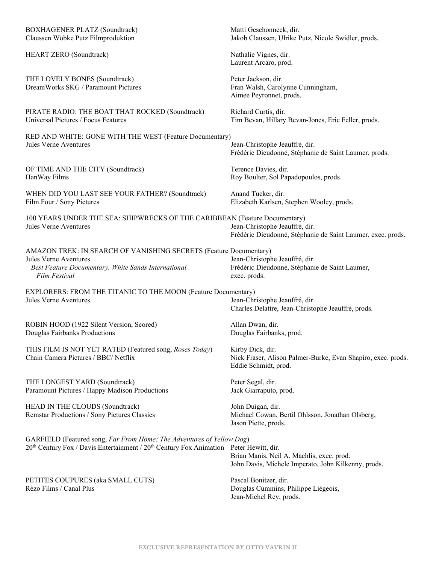| <b>BOXHAGENER PLATZ (Soundtrack)</b>                                                                                                                               | Matti Geschonneck, dir.                                                                                  |
|--------------------------------------------------------------------------------------------------------------------------------------------------------------------|----------------------------------------------------------------------------------------------------------|
| Claussen Wöbke Putz Filmproduktion                                                                                                                                 | Jakob Claussen, Ulrike Putz, Nicole Swidler, prods.                                                      |
| HEART ZERO (Soundtrack)                                                                                                                                            | Nathalie Vignes, dir.<br>Laurent Arcaro, prod.                                                           |
| THE LOVELY BONES (Soundtrack)<br>DreamWorks SKG / Paramount Pictures                                                                                               | Peter Jackson, dir.<br>Fran Walsh, Carolynne Cunningham,<br>Aimee Peyronnet, prods.                      |
| PIRATE RADIO: THE BOAT THAT ROCKED (Soundtrack)                                                                                                                    | Richard Curtis, dir.                                                                                     |
| Universal Pictures / Focus Features                                                                                                                                | Tim Bevan, Hillary Bevan-Jones, Eric Feller, prods.                                                      |
| RED AND WHITE: GONE WITH THE WEST (Feature Documentary)                                                                                                            | Jean-Christophe Jeauffré, dir.                                                                           |
| Jules Verne Aventures                                                                                                                                              | Frédéric Dieudonné, Stéphanie de Saint Laumer, prods.                                                    |
| OF TIME AND THE CITY (Soundtrack)                                                                                                                                  | Terence Davies, dir.                                                                                     |
| HanWay Films                                                                                                                                                       | Roy Boulter, Sol Papadopoulos, prods.                                                                    |
| WHEN DID YOU LAST SEE YOUR FATHER? (Soundtrack)                                                                                                                    | Anand Tucker, dir.                                                                                       |
| Film Four / Sony Pictures                                                                                                                                          | Elizabeth Karlsen, Stephen Wooley, prods.                                                                |
| 100 YEARS UNDER THE SEA: SHIPWRECKS OF THE CARIBBEAN (Feature Documentary)                                                                                         | Jean-Christophe Jeauffré, dir.                                                                           |
| <b>Jules Verne Aventures</b>                                                                                                                                       | Frédéric Dieudonné, Stéphanie de Saint Laumer, exec. prods.                                              |
| AMAZON TREK: IN SEARCH OF VANISHING SECRETS (Feature Documentary)<br>Jules Verne Aventures<br>Best Feature Documentary, White Sands International<br>Film Festival | Jean-Christophe Jeauffré, dir.<br>Frédéric Dieudonné, Stéphanie de Saint Laumer,<br>exec. prods.         |
| EXPLORERS: FROM THE TITANIC TO THE MOON (Feature Documentary)                                                                                                      | Jean-Christophe Jeauffré, dir.                                                                           |
| <b>Jules Verne Aventures</b>                                                                                                                                       | Charles Delattre, Jean-Christophe Jeauffré, prods.                                                       |
| ROBIN HOOD (1922 Silent Version, Scored)                                                                                                                           | Allan Dwan, dir.                                                                                         |
| Douglas Fairbanks Productions                                                                                                                                      | Douglas Fairbanks, prod.                                                                                 |
| THIS FILM IS NOT YET RATED (Featured song, Roses Today)<br>Chain Camera Pictures / BBC/ Netflix                                                                    | Kirby Dick, dir.<br>Nick Fraser, Alison Palmer-Burke, Evan Shapiro, exec. prods.<br>Eddie Schmidt, prod. |
| THE LONGEST YARD (Soundtrack)                                                                                                                                      | Peter Segal, dir.                                                                                        |
| Paramount Pictures / Happy Madison Productions                                                                                                                     | Jack Giarraputo, prod.                                                                                   |
| HEAD IN THE CLOUDS (Soundtrack)<br>Remstar Productions / Sony Pictures Classics                                                                                    | John Duigan, dir.<br>Michael Cowan, Bertil Ohlsson, Jonathan Olsberg,<br>Jason Piette, prods.            |
| GARFIELD (Featured song, Far From Home: The Adventures of Yellow Dog)                                                                                              | Brian Manis, Neil A. Machlis, exec. prod.                                                                |
| 20 <sup>th</sup> Century Fox / Davis Entertainment / 20 <sup>th</sup> Century Fox Animation Peter Hewitt, dir.                                                     | John Davis, Michele Imperato, John Kilkenny, prods.                                                      |
| PETITES COUPURES (aka SMALL CUTS)<br>Rézo Films / Canal Plus                                                                                                       | Pascal Bonitzer, dir.<br>Douglas Cummins, Philippe Liégeois,<br>Jean-Michel Rey, prods.                  |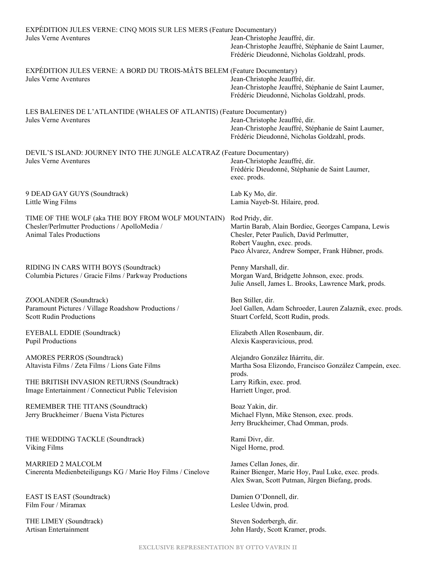| EXPÉDITION JULES VERNE: CINQ MOIS SUR LES MERS (Feature Documentary)<br><b>Jules Verne Aventures</b>                                   | Jean-Christophe Jeauffré, dir.<br>Jean-Christophe Jeauffré, Stéphanie de Saint Laumer,<br>Frédéric Dieudonné, Nicholas Goldzahl, prods.                                                                 |
|----------------------------------------------------------------------------------------------------------------------------------------|---------------------------------------------------------------------------------------------------------------------------------------------------------------------------------------------------------|
| EXPÉDITION JULES VERNE: A BORD DU TROIS-MÂTS BELEM (Feature Documentary)<br><b>Jules Verne Aventures</b>                               | Jean-Christophe Jeauffré, dir.<br>Jean-Christophe Jeauffré, Stéphanie de Saint Laumer,<br>Frédéric Dieudonné, Nicholas Goldzahl, prods.                                                                 |
| LES BALEINES DE L'ATLANTIDE (WHALES OF ATLANTIS) (Feature Documentary)<br>Jules Verne Aventures                                        | Jean-Christophe Jeauffré, dir.<br>Jean-Christophe Jeauffré, Stéphanie de Saint Laumer,<br>Frédéric Dieudonné, Nicholas Goldzahl, prods.                                                                 |
| DEVIL'S ISLAND: JOURNEY INTO THE JUNGLE ALCATRAZ (Feature Documentary)<br>Jules Verne Aventures                                        | Jean-Christophe Jeauffré, dir.<br>Frédéric Dieudonné, Stéphanie de Saint Laumer,<br>exec. prods.                                                                                                        |
| 9 DEAD GAY GUYS (Soundtrack)<br>Little Wing Films                                                                                      | Lab Ky Mo, dir.<br>Lamia Nayeb-St. Hilaire, prod.                                                                                                                                                       |
| TIME OF THE WOLF (aka THE BOY FROM WOLF MOUNTAIN)<br>Chesler/Perlmutter Productions / ApolloMedia /<br><b>Animal Tales Productions</b> | Rod Pridy, dir.<br>Martin Barab, Alain Bordiec, Georges Campana, Lewis<br>Chesler, Peter Paulich, David Perlmutter,<br>Robert Vaughn, exec. prods.<br>Paco Álvarez, Andrew Somper, Frank Hübner, prods. |
| RIDING IN CARS WITH BOYS (Soundtrack)<br>Columbia Pictures / Gracie Films / Parkway Productions                                        | Penny Marshall, dir.<br>Morgan Ward, Bridgette Johnson, exec. prods.<br>Julie Ansell, James L. Brooks, Lawrence Mark, prods.                                                                            |
| ZOOLANDER (Soundtrack)<br>Paramount Pictures / Village Roadshow Productions /<br><b>Scott Rudin Productions</b>                        | Ben Stiller, dir.<br>Joel Gallen, Adam Schroeder, Lauren Zalaznik, exec. prods.<br>Stuart Corfeld, Scott Rudin, prods.                                                                                  |
| EYEBALL EDDIE (Soundtrack)<br><b>Pupil Productions</b>                                                                                 | Elizabeth Allen Rosenbaum, dir.<br>Alexis Kasperavicious, prod.                                                                                                                                         |
| <b>AMORES PERROS (Soundtrack)</b><br>Altavista Films / Zeta Films / Lions Gate Films<br>THE BRITISH INVASION RETURNS (Soundtrack)      | Alejandro González Iñárritu, dir.<br>Martha Sosa Elizondo, Francisco González Campeán, exec.<br>prods.<br>Larry Rifkin, exec. prod.                                                                     |
| Image Entertainment / Connecticut Public Television                                                                                    | Harriett Unger, prod.                                                                                                                                                                                   |
| REMEMBER THE TITANS (Soundtrack)<br>Jerry Bruckheimer / Buena Vista Pictures                                                           | Boaz Yakin, dir.<br>Michael Flynn, Mike Stenson, exec. prods.<br>Jerry Bruckheimer, Chad Omman, prods.                                                                                                  |
| THE WEDDING TACKLE (Soundtrack)<br>Viking Films                                                                                        | Rami Divr, dir.<br>Nigel Horne, prod.                                                                                                                                                                   |
| <b>MARRIED 2 MALCOLM</b><br>Cinerenta Medienbeteiligungs KG / Marie Hoy Films / Cinelove                                               | James Cellan Jones, dir.<br>Rainer Bienger, Marie Hoy, Paul Luke, exec. prods.<br>Alex Swan, Scott Putman, Jürgen Biefang, prods.                                                                       |
| EAST IS EAST (Soundtrack)<br>Film Four / Miramax                                                                                       | Damien O'Donnell, dir.<br>Leslee Udwin, prod.                                                                                                                                                           |

THE LIMEY (Soundtrack) Steven Soderbergh, dir.<br>
Artisan Entertainment Steven Soderbergh, dir.<br>
John Hardy, Scott Kram

John Hardy, Scott Kramer, prods.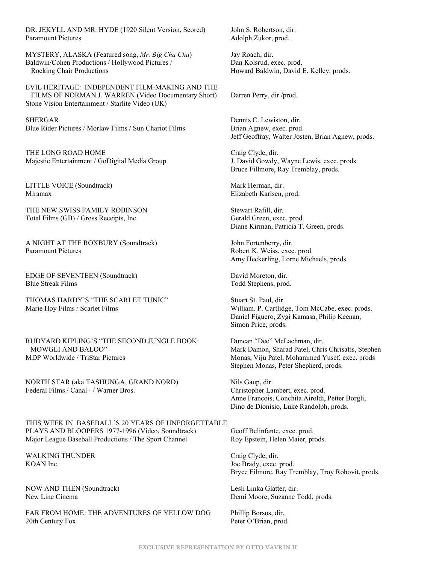DR. JEKYLL AND MR. HYDE (1920 Silent Version, Scored) John S. Robertson, dir. Paramount Pictures **Adolph Zukor**, prod.

MYSTERY, ALASKA (Featured song, *Mr. Big Cha Cha*) Jay Roach, dir. Baldwin/Cohen Productions / Hollywood Pictures / Dan Kolsrud, exec. prod. Rocking Chair Productions **Howard Baldwin, David E. Kelley, prods.** Howard Baldwin, David E. Kelley, prods.

EVIL HERITAGE: INDEPENDENT FILM-MAKING AND THE FILMS OF NORMAN J. WARREN (Video Documentary Short) Darren Perry, dir./prod. Stone Vision Entertainment / Starlite Video (UK)

SHERGAR Dennis C. Lewiston, dir. Blue Rider Pictures / Morlaw Films / Sun Chariot Films Brian Agnew, exec. prod.

THE LONG ROAD HOME Craig Clyde, dir. Majestic Entertainment / GoDigital Media Group J. David Gowdy, Wayne Lewis, exec. prods.

LITTLE VOICE (Soundtrack) Mark Herman, dir. Miramax Elizabeth Karlsen, prod.

THE NEW SWISS FAMILY ROBINSON Stewart Rafill, dir. Total Films (GB) / Gross Receipts, Inc. Gerald Green, exec. prod.

A NIGHT AT THE ROXBURY (Soundtrack) John Fortenberry, dir. Paramount Pictures **Robert K. Weiss, exec. prod.** 

EDGE OF SEVENTEEN (Soundtrack) David Moreton, dir. Blue Streak Films Todd Stephens, prod.

THOMAS HARDY'S "THE SCARLET TUNIC" Stuart St. Paul, dir. Marie Hoy Films / Scarlet Films **William.** P. Cartlidge, Tom McCabe, exec. prods.

RUDYARD KIPLING'S "THE SECOND JUNGLE BOOK: Duncan "Dee" McLachman, dir. MOWGLI AND BALOO" Mark Damon, Sharad Patel, Chris Chrisafis, Stephen MDP Worldwide / TriStar Pictures Monas, Viju Patel, Mohammed Yusef, exec. prods

NORTH STAR (aka TASHUNGA, GRAND NORD) Nils Gaup, dir. Federal Films / Canal+ / Warner Bros. Christopher Lambert, exec. prod.

THIS WEEK IN BASEBALL'S 20 YEARS OF UNFORGETTABLE PLAYS AND BLOOPERS 1977-1996 (Video, Soundtrack) Geoff Belinfante, exec. prod. Major League Baseball Productions / The Sport Channel Roy Epstein, Helen Maier, prods.

WALKING THUNDER Craig Clyde, dir. KOAN Inc. Some Security 1 and the Security 1 and 1 and 1 and 1 and 1 and 1 and 1 and 1 and 1 and 1 and 1 and 1 and 1 and 1 and 1 and 1 and 1 and 1 and 1 and 1 and 1 and 1 and 1 and 1 and 1 and 1 and 1 and 1 and 1 and 1 and

NOW AND THEN (Soundtrack) Lesli Linka Glatter, dir.

FAR FROM HOME: THE ADVENTURES OF YELLOW DOG Phillip Borsos, dir. 20th Century Fox Peter O'Brian, prod.

Jeff Geoffray, Walter Josten, Brian Agnew, prods.

Bruce Fillmore, Ray Tremblay, prods.

Diane Kirman, Patricia T. Green, prods.

Amy Heckerling, Lorne Michaels, prods.

Daniel Figuero, Zygi Kamasa, Philip Keenan, Simon Price, prods.

Stephen Monas, Peter Shepherd, prods.

Anne Francois, Conchita Airoldi, Petter Borgli, Dino de Dionisio, Luke Randolph, prods.

Bryce Filmore, Ray Tremblay, Troy Rohovit, prods.

New Line Cinema Demi Moore, Suzanne Todd, prods.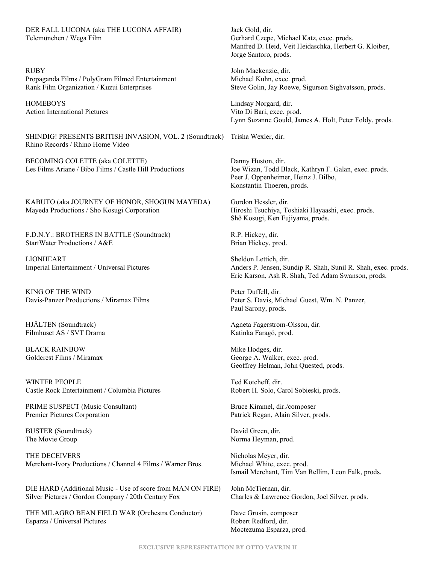DER FALL LUCONA (aka THE LUCONA AFFAIR) Jack Gold, dir. Telemünchen / Wega Film Gerhard Czepe, Michael Katz, exec. prods.

RUBY John Mackenzie, dir. Propaganda Films / PolyGram Filmed Entertainment Michael Kuhn, exec. prod.

HOMEBOYS Lindsay Norgard, dir. Action International Pictures and Action Vito Di Bari, exec. prod.

SHINDIG! PRESENTS BRITISH INVASION, VOL. 2 (Soundtrack) Trisha Wexler, dir. Rhino Records / Rhino Home Video

BECOMING COLETTE (aka COLETTE) Danny Huston, dir. Les Films Ariane / Bibo Films / Castle Hill Productions Joe Wizan, Todd Black, Kathryn F. Galan, exec. prods.

KABUTO (aka JOURNEY OF HONOR, SHOGUN MAYEDA) Gordon Hessler, dir. Mayeda Productions / Sho Kosugi Corporation Hiroshi Tsuchiya, Toshiaki Hayaashi, exec. prods.

F.D.N.Y.: BROTHERS IN BATTLE (Soundtrack) R.P. Hickey, dir. StartWater Productions / A&E Brian Hickey, prod.

LIONHEART Sheldon Lettich, dir.

KING OF THE WIND Peter Duffell, dir.

Filmhuset AS / SVT Drama Katinka Faragó, prod.

BLACK RAINBOW Mike Hodges, dir.

WINTER PEOPLE Ted Kotcheff, dir. Castle Rock Entertainment / Columbia Pictures Robert H. Solo, Carol Sobieski, prods.

PRIME SUSPECT (Music Consultant) Bruce Kimmel, dir./composer Premier Pictures Corporation Patrick Regan, Alain Silver, prods.

BUSTER (Soundtrack) David Green, dir. The Movie Group Norma Heyman, prod.

THE DECEIVERS Nicholas Meyer, dir. Merchant-Ivory Productions / Channel 4 Films / Warner Bros. Michael White, exec. prod.

DIE HARD (Additional Music - Use of score from MAN ON FIRE) John McTiernan, dir. Silver Pictures / Gordon Company / 20th Century Fox Charles & Lawrence Gordon, Joel Silver, prods.

THE MILAGRO BEAN FIELD WAR (Orchestra Conductor) Dave Grusin, composer Esparza / Universal Pictures **Robert Redford**, dir.

Manfred D. Heid, Veit Heidaschka, Herbert G. Kloiber, Jorge Santoro, prods.

Rank Film Organization / Kuzui Enterprises Steve Golin, Jay Roewe, Sigurson Sighvatsson, prods.

Lynn Suzanne Gould, James A. Holt, Peter Foldy, prods.

Peer J. Oppenheimer, Heinz J. Bilbo, Konstantin Thoeren, prods.

Shô Kosugi, Ken Fujiyama, prods.

Imperial Entertainment / Universal Pictures Anders P. Jensen, Sundip R. Shah, Sunil R. Shah, exec. prods. Eric Karson, Ash R. Shah, Ted Adam Swanson, prods.

Davis-Panzer Productions / Miramax Films Peter S. Davis, Michael Guest, Wm. N. Panzer, Paul Sarony, prods.

HJÄLTEN (Soundtrack) Agneta Fagerstrom-Olsson, dir.

Goldcrest Films / Miramax George A. Walker, exec. prod. Geoffrey Helman, John Quested, prods.

Ismail Merchant, Tim Van Rellim, Leon Falk, prods.

Moctezuma Esparza, prod.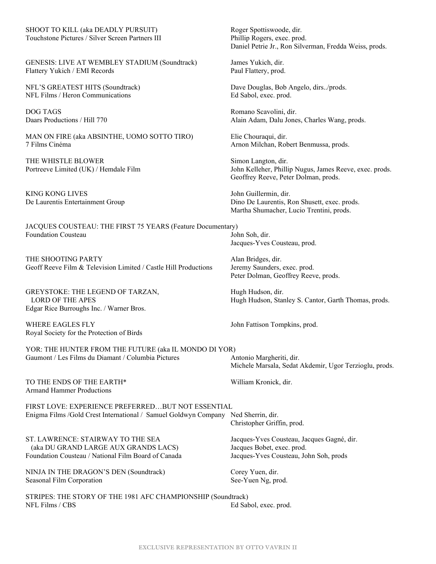SHOOT TO KILL (aka DEADLY PURSUIT) Roger Spottiswoode, dir. Touchstone Pictures / Silver Screen Partners III Phillip Rogers, exec. prod.

GENESIS: LIVE AT WEMBLEY STADIUM (Soundtrack) James Yukich, dir. Flattery Yukich / EMI Records Paul Flattery, prod.

NFL Films / Heron Communications Ed Sabol, exec. prod.

DOG TAGS Romano Scavolini, dir.

MAN ON FIRE (aka ABSINTHE, UOMO SOTTO TIRO) Elie Chouraqui, dir. 7 Films Cinéma Arnon Milchan, Robert Benmussa, prods.

THE WHISTLE BLOWER Simon Langton, dir.

KING KONG LIVES John Guillermin, dir.

JACQUES COUSTEAU: THE FIRST 75 YEARS (Feature Documentary) Foundation Cousteau John Soh, dir.

THE SHOOTING PARTY Alan Bridges, dir. Geoff Reeve Film & Television Limited / Castle Hill Productions Jeremy Saunders, exec. prod.

GREYSTOKE: THE LEGEND OF TARZAN, Hugh Hudson, dir. Edgar Rice Burroughs Inc. / Warner Bros.

WHERE EAGLES FLY **State of the U.S. Section** John Fattison Tompkins, prod. Royal Society for the Protection of Birds

YOR: THE HUNTER FROM THE FUTURE (aka IL MONDO DI YOR) Gaumont / Les Films du Diamant / Columbia Pictures Antonio Margheriti, dir.

TO THE ENDS OF THE EARTH\* William Kronick, dir. Armand Hammer Productions

FIRST LOVE: EXPERIENCE PREFERRED…BUT NOT ESSENTIAL Enigma Films /Gold Crest International / Samuel Goldwyn Company Ned Sherrin, dir. Christopher Griffin, prod.

ST. LAWRENCE: STAIRWAY TO THE SEA Jacques-Yves Cousteau, Jacques Gagné, dir. (aka DU GRAND LARGE AUX GRANDS LACS) Jacques Bobet, exec. prod. Foundation Cousteau / National Film Board of Canada Jacques-Yves Cousteau, John Soh, prods

NINJA IN THE DRAGON'S DEN (Soundtrack) Corey Yuen, dir. Seasonal Film Corporation See-Yuen Ng, prod.

STRIPES: THE STORY OF THE 1981 AFC CHAMPIONSHIP (Soundtrack) NFL Films / CBS Ed Sabol, exec. prod.

Daniel Petrie Jr., Ron Silverman, Fredda Weiss, prods.

NFL'S GREATEST HITS (Soundtrack) Dave Douglas, Bob Angelo, dirs../prods.

Daars Productions / Hill 770 Alain Adam, Dalu Jones, Charles Wang, prods.

Portreeve Limited (UK) / Hemdale Film John Kelleher, Phillip Nugus, James Reeve, exec. prods. Geoffrey Reeve, Peter Dolman, prods.

De Laurentis Entertainment Group Dino De Laurentis, Ron Shusett, exec. prods. Martha Shumacher, Lucio Trentini, prods.

Jacques-Yves Cousteau, prod.

Peter Dolman, Geoffrey Reeve, prods.

LORD OF THE APES Hugh Hudson, Stanley S. Cantor, Garth Thomas, prods.

Michele Marsala, Sedat Akdemir, Ugor Terzioglu, prods.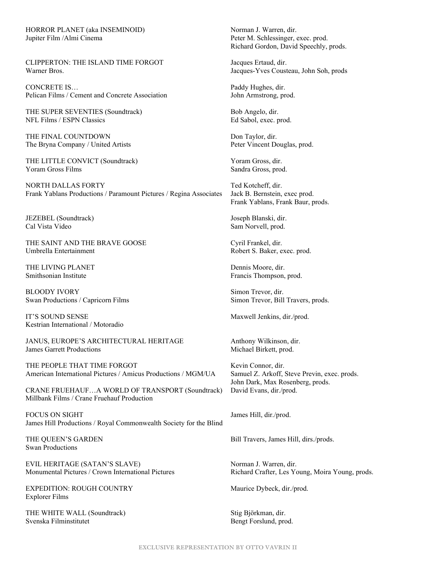HORROR PLANET (aka INSEMINOID) Norman J. Warren, dir. Jupiter Film /Almi Cinema **Peter M. Schlessinger, exec. prod.** 

CLIPPERTON: THE ISLAND TIME FORGOT Jacques Ertaud, dir. Warner Bros. Jacques-Yves Cousteau, John Soh, prods

CONCRETE IS… Paddy Hughes, dir. Pelican Films / Cement and Concrete Association John Armstrong, prod.

THE SUPER SEVENTIES (Soundtrack) Bob Angelo, dir. NFL Films / ESPN Classics Ed Sabol, exec. prod.

THE FINAL COUNTDOWN Don Taylor, dir. The Bryna Company / United Artists Peter Vincent Douglas, prod.

THE LITTLE CONVICT (Soundtrack) Yoram Gross, dir. Yoram Gross Films Sandra Gross, prod.

NORTH DALLAS FORTY Ted Kotcheff, dir. Frank Yablans Productions / Paramount Pictures / Regina Associates Jack B. Bernstein, exec prod.

JEZEBEL (Soundtrack) Joseph Blanski, dir. Cal Vista Video Sam Norvell, prod.

THE SAINT AND THE BRAVE GOOSE Cyril Frankel, dir.<br>
Umbrella Entertainment Cyril Frankel, dir.<br>
Robert S. Baker e

THE LIVING PLANET Dennis Moore, dir.<br>
Smithsonian Institute The Contract of the Contract of The Prancis Thompson.

BLOODY IVORY Simon Trevor, dir. Swan Productions / Capricorn Films Simon Trevor, Bill Travers, prods.

IT'S SOUND SENSE Maxwell Jenkins, dir./prod. Kestrian International / Motoradio

JANUS, EUROPE'S ARCHITECTURAL HERITAGE Anthony Wilkinson, dir.<br>James Garrett Productions Michael Birkett. prod.

THE PEOPLE THAT TIME FORGOT Kevin Connor, dir. American International Pictures / Amicus Productions / MGM/UA Samuel Z. Arkoff, Steve Previn, exec. prods.

CRANE FRUEHAUF…A WORLD OF TRANSPORT (Soundtrack) David Evans, dir./prod. Millbank Films / Crane Fruehauf Production

FOCUS ON SIGHT James Hill, dir./prod. James Hill Productions / Royal Commonwealth Society for the Blind

Swan Productions

EVIL HERITAGE (SATAN'S SLAVE) Norman J. Warren, dir. Monumental Pictures / Crown International Pictures Richard Crafter, Les Young, Moira Young, prods.

EXPEDITION: ROUGH COUNTRY Maurice Dybeck, dir./prod. Explorer Films

THE WHITE WALL (Soundtrack) Stig Björkman, dir.<br>Svenska Filminstitutet Bengt Forslund. pro

Richard Gordon, David Speechly, prods.

Frank Yablans, Frank Baur, prods.

Robert S. Baker, exec. prod.

Francis Thompson, prod.

Michael Birkett, prod.

John Dark, Max Rosenberg, prods.

THE QUEEN'S GARDEN Bill Travers, James Hill, dirs./prods.

Bengt Forslund, prod.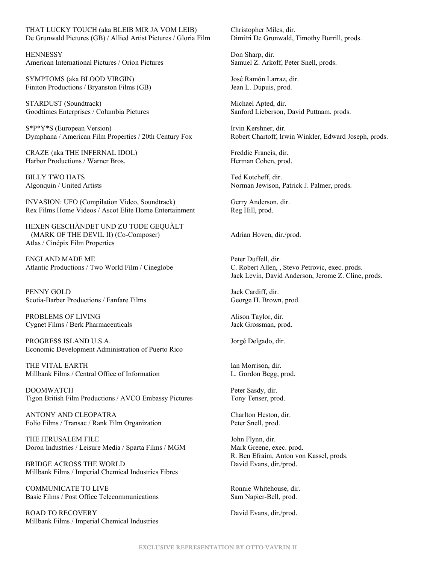THAT LUCKY TOUCH (aka BLEIB MIR JA VOM LEIB) Christopher Miles, dir. De Grunwald Pictures (GB) / Allied Artist Pictures / Gloria Film Dimitri De Grunwald, Timothy Burrill, prods.

HENNESSY Don Sharp, dir. American International Pictures / Orion Pictures Samuel Z. Arkoff, Peter Snell, prods.

SYMPTOMS (aka BLOOD VIRGIN) José Ramón Larraz, dir. Finiton Productions / Bryanston Films (GB) Jean L. Dupuis, prod.

STARDUST (Soundtrack) Michael Apted, dir. Goodtimes Enterprises / Columbia Pictures Sanford Lieberson, David Puttnam, prods.

S\*P\*Y\*S (European Version) Irvin Kershner, dir. Dymphana / American Film Properties / 20th Century Fox Robert Chartoff, Irwin Winkler, Edward Joseph, prods.

CRAZE (aka THE INFERNAL IDOL) Freddie Francis, dir. Harbor Productions / Warner Bros. Herman Cohen, prod.

BILLY TWO HATS Ted Kotcheff, dir.

INVASION: UFO (Compilation Video, Soundtrack) Gerry Anderson, dir. Rex Films Home Videos / Ascot Elite Home Entertainment Reg Hill, prod.

HEXEN GESCHÄNDET UND ZU TODE GEQUÄLT (MARK OF THE DEVIL II) (Co-Composer) Adrian Hoven, dir./prod. Atlas / Cinépix Film Properties

ENGLAND MADE ME<br>Atlantic Productions / Two World Film / Cineglobe<br>C. Robert Allen, , Stevo Petrovic, exec. prods. Atlantic Productions / Two World Film / Cineglobe

PENNY GOLD Jack Cardiff, dir. Scotia-Barber Productions / Fanfare Films George H. Brown, prod.

PROBLEMS OF LIVING Alison Taylor, dir. Cygnet Films / Berk Pharmaceuticals Jack Grossman, prod.

PROGRESS ISLAND U.S.A. Jorgé Delgado, dir. Economic Development Administration of Puerto Rico

THE VITAL EARTH Ian Morrison, dir. Millbank Films / Central Office of Information L. Gordon Begg, prod.

DOOMWATCH Peter Sasdy, dir. Tigon British Film Productions / AVCO Embassy Pictures Tony Tenser, prod.

ANTONY AND CLEOPATRA Charlton Heston, dir. Folio Films / Transac / Rank Film Organization Peter Snell, prod.

THE JERUSALEM FILE John Flynn, dir. Doron Industries / Leisure Media / Sparta Films / MGM Mark Greene, exec. prod.

BRIDGE ACROSS THE WORLD David Evans, dir./prod. Millbank Films / Imperial Chemical Industries Fibres

COMMUNICATE TO LIVE Ronnie Whitehouse, dir. Basic Films / Post Office Telecommunications Sam Napier-Bell, prod.

ROAD TO RECOVERY DAVid Evans, dir./prod. Millbank Films / Imperial Chemical Industries

Algonquin / United Artists Norman Jewison, Patrick J. Palmer, prods.

Jack Levin, David Anderson, Jerome Z. Cline, prods.

R. Ben Efraim, Anton von Kassel, prods.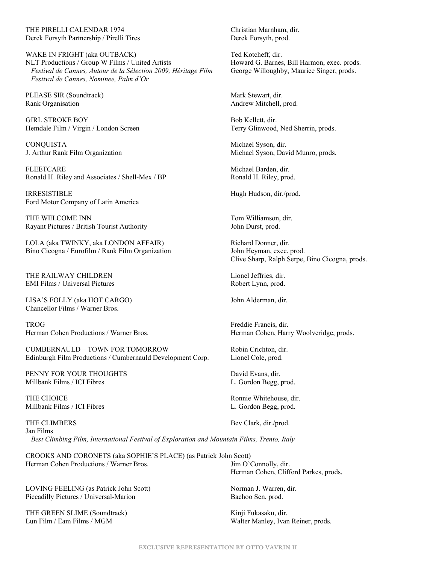THE PIRELLI CALENDAR 1974 Christian Marnham, dir. Derek Forsyth Partnership / Pirelli Tires Derek Forsyth, prod.

WAKE IN FRIGHT (aka OUTBACK) Ted Kotcheff, dir. NLT Productions / Group W Films / United Artists Howard G. Barnes, Bill Harmon, exec. prods. *Festival de Cannes, Autour de la Sélection 2009, Héritage Film* George Willoughby, Maurice Singer, prods.  *Festival de Cannes, Nominee, Palm d'Or*

PLEASE SIR (Soundtrack) Mark Stewart, dir. Rank Organisation **Andrew Mitchell**, prod.

GIRL STROKE BOY Bob Kellett, dir. Hemdale Film / Virgin / London Screen Terry Glinwood, Ned Sherrin, prods.

CONQUISTA Michael Syson, dir.

FLEETCARE Michael Barden, dir. Ronald H. Riley and Associates / Shell-Mex / BP Ronald H. Riley, prod.

IRRESISTIBLE Hugh Hudson, dir./prod. Ford Motor Company of Latin America

THE WELCOME INN THE WELCOME INN Rayant Pictures / British Tourist Authority John Durst, prod.

LOLA (aka TWINKY, aka LONDON AFFAIR) Richard Donner, dir.<br>
Bino Cicogna / Eurofilm / Rank Film Organization John Heyman, exec. prod. Bino Cicogna / Eurofilm / Rank Film Organization

THE RAILWAY CHILDREN Lionel Jeffries, dir. EMI Films / Universal Pictures Robert Lynn, prod.

LISA'S FOLLY (aka HOT CARGO) John Alderman, dir. Chancellor Films / Warner Bros.

TROG Freddie Francis, dir.

CUMBERNAULD – TOWN FOR TOMORROW Robin Crichton, dir. Edinburgh Film Productions / Cumbernauld Development Corp. Lionel Cole, prod.

PENNY FOR YOUR THOUGHTS David Evans, dir. Millbank Films / ICI Fibres L. Gordon Begg, prod.

THE CHOICE **Rounder CHOICE** Rounder **Rounder Rounder Rounder** Rounder Rounder Rounder Rounder Research Rounder Rounder Millbank Films / ICI Fibres L. Gordon Begg, prod.

THE CLIMBERS Bev Clark, dir./prod. Jan Films  *Best Climbing Film, International Festival of Exploration and Mountain Films, Trento, Italy*

CROOKS AND CORONETS (aka SOPHIE'S PLACE) (as Patrick John Scott) Herman Cohen Productions / Warner Bros. Jim O'Connolly, dir.

LOVING FEELING (as Patrick John Scott) Norman J. Warren, dir. Piccadilly Pictures / Universal-Marion Bachoo Sen, prod.

THE GREEN SLIME (Soundtrack) <br>
Lun Film / Eam Films / MGM (Soundtrack) Walter Manley, Ivan

Michael Syson, David Munro, prods.

Clive Sharp, Ralph Serpe, Bino Cicogna, prods.

Herman Cohen Productions / Warner Bros. Herman Cohen, Harry Woolveridge, prods.

Herman Cohen, Clifford Parkes, prods.

Walter Manley, Ivan Reiner, prods.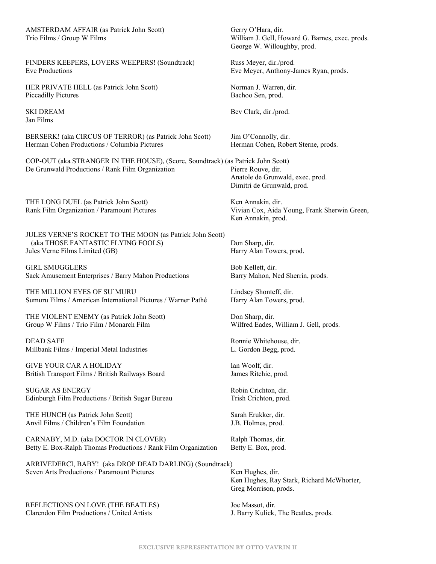AMSTERDAM AFFAIR (as Patrick John Scott) Gerry O'Hara, dir. Trio Films / Group W Films William J. Gell, Howard G. Barnes, exec. prods.

FINDERS KEEPERS, LOVERS WEEPERS! (Soundtrack) Russ Meyer, dir./prod. Eve Productions Eve Meyer, Anthony-James Ryan, prods.

HER PRIVATE HELL (as Patrick John Scott) Norman J. Warren, dir. Piccadilly Pictures Bachoo Sen, prod.

Jan Films

BERSERK! (aka CIRCUS OF TERROR) (as Patrick John Scott) Jim O'Connolly, dir. Herman Cohen Productions / Columbia Pictures Herman Cohen, Robert Sterne, prods.

COP-OUT (aka STRANGER IN THE HOUSE), (Score, Soundtrack) (as Patrick John Scott) De Grunwald Productions / Rank Film Organization Pierre Rouve, dir.

THE LONG DUEL (as Patrick John Scott) Ken Annakin, dir.

JULES VERNE'S ROCKET TO THE MOON (as Patrick John Scott) (aka THOSE FANTASTIC FLYING FOOLS) Don Sharp, dir.<br>
ales Verne Films Limited (GB) Harry Alan Towers, prod. Jules Verne Films Limited (GB)

GIRL SMUGGLERS Bob Kellett, dir. Sack Amusement Enterprises / Barry Mahon Productions Barry Mahon, Ned Sherrin, prods.

THE MILLION EYES OF SU'MURU Lindsey Shonteff, dir. Sumuru Films / American International Pictures / Warner Pathé Harry Alan Towers, prod.

THE VIOLENT ENEMY (as Patrick John Scott) Don Sharp, dir. Group W Films / Trio Film / Monarch Film Wilfred Eades, William J. Gell, prods.

DEAD SAFE Ronnie Whitehouse, dir. Millbank Films / Imperial Metal Industries Theorem and L. Gordon Begg, prod.

GIVE YOUR CAR A HOLIDAY Ian Woolf, dir. British Transport Films / British Railways Board James Ritchie, prod.

SUGAR AS ENERGY Robin Crichton, dir. Edinburgh Film Productions / British Sugar Bureau Trish Crichton, prod.

THE HUNCH (as Patrick John Scott) Sarah Erukker, dir. Anvil Films / Children's Film Foundation J.B. Holmes, prod.

CARNABY, M.D. (aka DOCTOR IN CLOVER) Ralph Thomas, dir. Betty E. Box-Ralph Thomas Productions / Rank Film Organization Betty E. Box, prod.

ARRIVEDERCI, BABY! (aka DROP DEAD DARLING) (Soundtrack) Seven Arts Productions / Paramount Pictures Ken Hughes, dir.

REFLECTIONS ON LOVE (THE BEATLES) Joe Massot, dir. Clarendon Film Productions / United Artists J. Barry Kulick, The Beatles, prods.

George W. Willoughby, prod.

SKI DREAM Bev Clark, dir./prod.

Anatole de Grunwald, exec. prod. Dimitri de Grunwald, prod.

Rank Film Organization / Paramount Pictures Vivian Cox, Aida Young, Frank Sherwin Green, Ken Annakin, prod.

Ken Hughes, Ray Stark, Richard McWhorter, Greg Morrison, prods.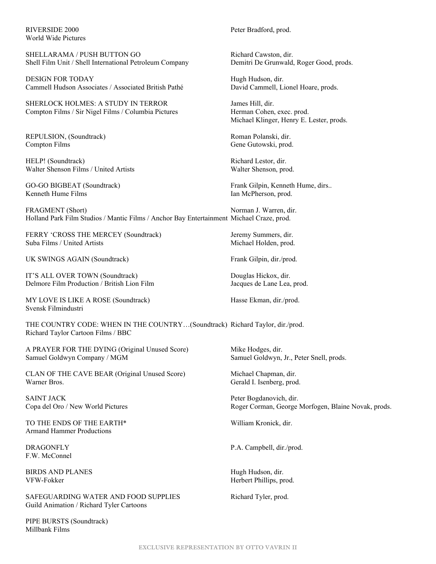World Wide Pictures

SHELLARAMA / PUSH BUTTON GO Richard Cawston, dir. Shell Film Unit / Shell International Petroleum Company Demitri De Grunwald, Roger Good, prods.

DESIGN FOR TODAY Hugh Hudson, dir. Cammell Hudson Associates / Associated British Pathé David Cammell, Lionel Hoare, prods.

SHERLOCK HOLMES: A STUDY IN TERROR James Hill, dir. Compton Films / Sir Nigel Films / Columbia Pictures Herman Cohen, exec. prod.

REPULSION, (Soundtrack) Roman Polanski, dir. Compton Films Gene Gutowski, prod.

HELP! (Soundtrack) Richard Lestor, dir. Walter Shenson Films / United Artists Walter Shenson, prod.

Kenneth Hume Films **Ian McPherson**, prod.

FRAGMENT (Short) Norman J. Warren, dir. Holland Park Film Studios / Mantic Films / Anchor Bay Entertainment Michael Craze, prod.

FERRY 'CROSS THE MERCEY (Soundtrack) Jeremy Summers, dir. Suba Films / United Artists Michael Holden, prod.

UK SWINGS AGAIN (Soundtrack) Frank Gilpin, dir./prod.

IT'S ALL OVER TOWN (Soundtrack) Douglas Hickox, dir. Delmore Film Production / British Lion Film Jacques de Lane Lea, prod.

MY LOVE IS LIKE A ROSE (Soundtrack) Hasse Ekman, dir./prod. Svensk Filmindustri

THE COUNTRY CODE: WHEN IN THE COUNTRY…(Soundtrack) Richard Taylor, dir./prod. Richard Taylor Cartoon Films / BBC

A PRAYER FOR THE DYING (Original Unused Score) Mike Hodges, dir. Samuel Goldwyn Company / MGM Samuel Goldwyn, Jr., Peter Snell, prods.

CLAN OF THE CAVE BEAR (Original Unused Score) Michael Chapman, dir. Warner Bros. Gerald I. Isenberg, prod.

SAINT JACK Peter Bogdanovich, dir.

TO THE ENDS OF THE EARTH\* William Kronick, dir. Armand Hammer Productions

F.W. McConnel

BIRDS AND PLANES Hugh Hudson, dir. VFW-Fokker Herbert Phillips, prod.

SAFEGUARDING WATER AND FOOD SUPPLIES Richard Tyler, prod. Guild Animation / Richard Tyler Cartoons

PIPE BURSTS (Soundtrack) Millbank Films

RIVERSIDE 2000 Peter Bradford, prod.

Michael Klinger, Henry E. Lester, prods.

GO-GO BIGBEAT (Soundtrack) Frank Gilpin, Kenneth Hume, dirs..

Copa del Oro / New World Pictures Roger Corman, George Morfogen, Blaine Novak, prods.

DRAGONFLY P.A. Campbell, dir./prod.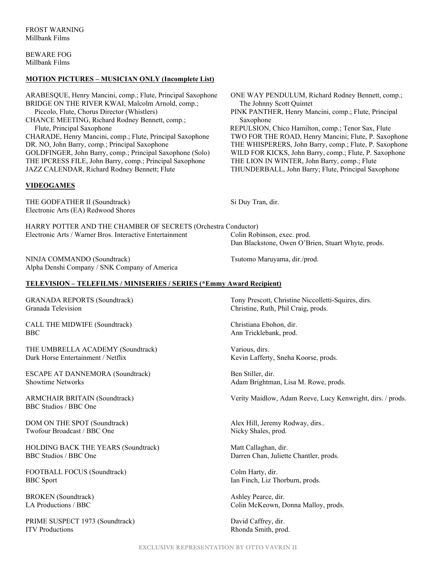BEWARE FOG Millbank Films

#### **MOTION PICTURES – MUSICIAN ONLY (Incomplete List)**

ARABESQUE, Henry Mancini, comp.; Flute, Principal Saxophone ONE WAY PENDULUM, Richard Rodney Bennett, comp.; BRIDGE ON THE RIVER KWAI, Malcolm Arnold, comp.; The Johnny Scott Quintet Piccolo, Flute, Chorus Director (Whistlers) PINK PANTHER, Henry Mancini, comp.; Flute, Principal CHANCE MEETING, Richard Rodney Bennett, comp.; Saxophone Flute, Principal Saxophone REPULSION, Chico Hamilton, comp.; Tenor Sax, Flute CHARADE, Henry Mancini, comp.; Flute, Principal Saxophone TWO FOR THE ROAD, Henry Mancini; Flute, P. Saxophone DR. NO, John Barry, comp.; Principal Saxophone THE WHISPERERS, John Barry, comp.; Flute, P. Saxophone GOLDFINGER, John Barry, comp.; Principal Saxophone (Solo) WILD FOR KICKS, John Barry, comp.; Flute, P. Saxophone GOLDFINGER, John Barry, comp.; Principal Saxophone (Solo) THE IPCRESS FILE, John Barry, comp.; Principal Saxophone THE LION IN WINTER, John Barry, comp.; Flute

#### **VIDEOGAMES**

THE GODFATHER II (Soundtrack) Si Duy Tran, dir. Electronic Arts (EA) Redwood Shores

HARRY POTTER AND THE CHAMBER OF SECRETS (Orchestra Conductor) Electronic Arts / Warner Bros. Interactive Entertainment Colin Robinson, exec. prod.

NINJA COMMANDO (Soundtrack) Tsutomo Maruyama, dir./prod. Alpha Denshi Company / SNK Company of America

#### **TELEVISION – TELEFILMS / MINISERIES / SERIES (\*Emmy Award Recipient)**

Granada Television Christine, Ruth, Phil Craig, prods.

CALL THE MIDWIFE (Soundtrack) Christiana Ebohon, dir. BBC Ann Tricklebank, prod.

THE UMBRELLA ACADEMY (Soundtrack) Various, dirs. Dark Horse Entertainment / Netflix Kevin Lafferty, Sneha Koorse, prods.

ESCAPE AT DANNEMORA (Soundtrack) Ben Stiller, dir. Showtime Networks **Adam Brightman, Lisa M. Rowe, prods.** Adam Brightman, Lisa M. Rowe, prods.

BBC Studios / BBC One

DOM ON THE SPOT (Soundtrack) Alex Hill, Jeremy Rodway, dirs.. Twofour Broadcast / BBC One Nicky Shales, prod.

HOLDING BACK THE YEARS (Soundtrack) Matt Callaghan, dir. BBC Studios / BBC One Darren Chan, Juliette Chantler, prods.

FOOTBALL FOCUS (Soundtrack) Colm Harty, dir. BBC Sport Ian Finch, Liz Thorburn, prods.

BROKEN (Soundtrack) and the set of the Ashley Pearce, dir.

PRIME SUSPECT 1973 (Soundtrack) David Caffrey, dir. ITV Productions Rhonda Smith, prod.

JAZZ CALENDAR, Richard Rodney Bennett; Flute THUNDERBALL, John Barry; Flute, Principal Saxophone

Dan Blackstone, Owen O'Brien, Stuart Whyte, prods.

GRANADA REPORTS (Soundtrack) Tony Prescott, Christine Niccolletti-Squires, dirs.

ARMCHAIR BRITAIN (Soundtrack) Verity Maidlow, Adam Reeve, Lucy Kenwright, dirs. / prods.

LA Productions / BBC Colin McKeown, Donna Malloy, prods.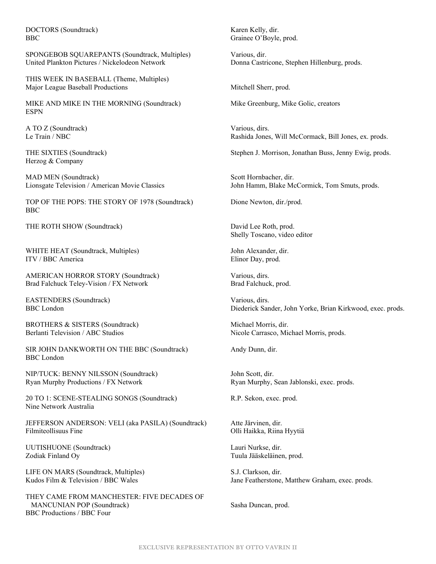DOCTORS (Soundtrack) Karen Kelly, dir. BBC Grainee O'Boyle, prod.

SPONGEBOB SQUAREPANTS (Soundtrack, Multiples) Various, dir. United Plankton Pictures / Nickelodeon Network Donna Castricone, Stephen Hillenburg, prods.

THIS WEEK IN BASEBALL (Theme, Multiples) Major League Baseball Productions **Mitchell Sherr**, prod.

MIKE AND MIKE IN THE MORNING (Soundtrack) Mike Greenburg, Mike Golic, creators ESPN

A TO Z (Soundtrack) Various, dirs.

Herzog & Company

MAD MEN (Soundtrack) Scott Hornbacher, dir.

TOP OF THE POPS: THE STORY OF 1978 (Soundtrack) Dione Newton, dir./prod. BBC

THE ROTH SHOW (Soundtrack) David Lee Roth, prod.

WHITE HEAT (Soundtrack, Multiples) John Alexander, dir. ITV / BBC America Elinor Day, prod.

AMERICAN HORROR STORY (Soundtrack) Various, dirs. Brad Falchuck Teley-Vision / FX Network Brad Falchuck, prod.

EASTENDERS (Soundtrack) Various, dirs.

BROTHERS & SISTERS (Soundtrack) Michael Morris, dir.

SIR JOHN DANKWORTH ON THE BBC (Soundtrack) Andy Dunn, dir. BBC London

NIP/TUCK: BENNY NILSSON (Soundtrack) John Scott, dir. Ryan Murphy Productions / FX Network Ryan Murphy, Sean Jablonski, exec. prods.

20 TO 1: SCENE-STEALING SONGS (Soundtrack) R.P. Sekon, exec. prod. Nine Network Australia

JEFFERSON ANDERSON: VELI (aka PASILA) (Soundtrack) Atte Järvinen, dir. Filmiteollisuus Fine Olli Haikka, Riina Hyytiä

UUTISHUONE (Soundtrack) Lauri Nurkse, dir. Zodiak Finland Oy Tuula Jääskeläinen, prod.

LIFE ON MARS (Soundtrack, Multiples) S.J. Clarkson, dir.

THEY CAME FROM MANCHESTER: FIVE DECADES OF MANCUNIAN POP (Soundtrack) Sasha Duncan, prod. BBC Productions / BBC Four

Le Train / NBC Rashida Jones, Will McCormack, Bill Jones, ex. prods.

THE SIXTIES (Soundtrack) Stephen J. Morrison, Jonathan Buss, Jenny Ewig, prods.

Lionsgate Television / American Movie Classics John Hamm, Blake McCormick, Tom Smuts, prods.

Shelly Toscano, video editor

BBC London Diederick Sander, John Yorke, Brian Kirkwood, exec. prods.

Berlanti Television / ABC Studios Nicole Carrasco, Michael Morris, prods.

Kudos Film & Television / BBC Wales Jane Featherstone, Matthew Graham, exec. prods.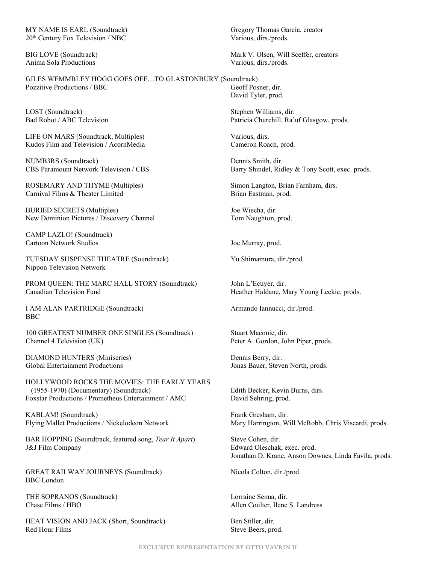MY NAME IS EARL (Soundtrack) Gregory Thomas Garcia, creator 20<sup>th</sup> Century Fox Television / NBC Various, dirs./prods.

Anima Sola Productions Various, dirs./prods.

GILES WEMMBLEY HOGG GOES OFF…TO GLASTONBURY (Soundtrack) Pozzitive Productions / BBC Geoff Posner, dir.

LOST (Soundtrack) Stephen Williams, dir.

LIFE ON MARS (Soundtrack, Multiples) Various, dirs. Kudos Film and Television / AcornMedia Cameron Roach, prod.

NUMB3RS (Soundtrack) Dennis Smith, dir.

ROSEMARY AND THYME (Multiples) Simon Langton, Brian Farnham, dirs. Carnival Films & Theater Limited Brian Eastman, prod.

BURIED SECRETS (Multiples) Joe Wiecha, dir. New Dominion Pictures / Discovery Channel Tom Naughton, prod.

CAMP LAZLO! (Soundtrack) Cartoon Network Studios Joe Murray, prod.

TUESDAY SUSPENSE THEATRE (Soundtrack) Yu Shimamura, dir./prod. Nippon Television Network

PROM QUEEN: THE MARC HALL STORY (Soundtrack) John L'Ecuyer, dir. Canadian Television Fund **Heather Haldane, Mary Young Leckie, prods.** 

I AM ALAN PARTRIDGE (Soundtrack) Armando Iannucci, dir./prod. BBC

100 GREATEST NUMBER ONE SINGLES (Soundtrack) Stuart Maconie, dir. Channel 4 Television (UK) Peter A. Gordon, John Piper, prods.

DIAMOND HUNTERS (Miniseries) Dennis Berry, dir. Global Entertainment Productions Jonas Bauer, Steven North, prods.

HOLLYWOOD ROCKS THE MOVIES: THE EARLY YEARS (1955-1970) (Documentary) (Soundtrack) Edith Becker, Kevin Burns, dirs. Foxstar Productions / Prometheus Entertainment / AMC David Sehring, prod.

KABLAM! (Soundtrack) Frank Gresham, dir.

BAR HOPPING (Soundtrack, featured song, *Tear It Apart*) Steve Cohen, dir. J&J Film Company Edward Oleschak, exec. prod.

GREAT RAILWAY JOURNEYS (Soundtrack) Nicola Colton, dir./prod. BBC London

THE SOPRANOS (Soundtrack) Lorraine Senna, dir.

HEAT VISION AND JACK (Short, Soundtrack) Ben Stiller, dir. Red Hour Films Steve Beers, prod.

BIG LOVE (Soundtrack) Mark V. Olsen, Will Sceffer, creators

David Tyler, prod.

Bad Robot / ABC Television Patricia Churchill, Ra'uf Glasgow, prods.

CBS Paramount Network Television / CBS Barry Shindel, Ridley & Tony Scott, exec. prods.

Flying Mallet Productions / Nickelodeon Network Mary Harrington, Will McRobb, Chris Viscardi, prods.

Jonathan D. Krane, Anson Downes, Linda Favila, prods.

Chase Films / HBO **Allen Coulter, Ilene S. Landress**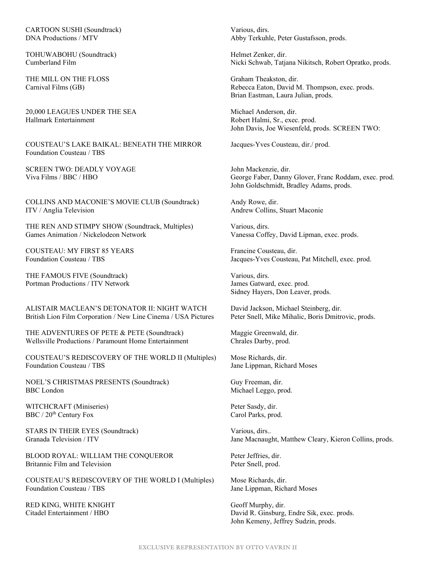CARTOON SUSHI (Soundtrack) Various, dirs.

TOHUWABOHU (Soundtrack) TOHUWABOHU (Soundtrack)

THE MILL ON THE FLOSS Graham Theakston, dir.<br>
Carnival Films (GB) Rebecca Eaton, David N

20,000 LEAGUES UNDER THE SEA Michael Anderson, dir. Hallmark Entertainment Robert Halmi, Sr., exec. prod.

COUSTEAU'S LAKE BAIKAL: BENEATH THE MIRROR Jacques-Yves Cousteau, dir./ prod. Foundation Cousteau / TBS

SCREEN TWO: DEADLY VOYAGE John Mackenzie, dir.<br>Viva Films / BBC / HBO John Mackenzie, dir.<br>George Faber. Danny

COLLINS AND MACONIE'S MOVIE CLUB (Soundtrack) Andy Rowe, dir. ITV / Anglia Television Andrew Collins, Stuart Maconie

THE REN AND STIMPY SHOW (Soundtrack, Multiples) Various, dirs. Games Animation / Nickelodeon Network Vanessa Coffey, David Lipman, exec. prods.

COUSTEAU: MY FIRST 85 YEARS Francine Cousteau, dir.

THE FAMOUS FIVE (Soundtrack) Various, dirs. Portman Productions / ITV Network James Gatward, exec. prod.

ALISTAIR MACLEAN'S DETONATOR II: NIGHT WATCH David Jackson, Michael Steinberg, dir. British Lion Film Corporation / New Line Cinema / USA Pictures Peter Snell, Mike Mihalic, Boris Dmitrovic, prods.

THE ADVENTURES OF PETE & PETE (Soundtrack) Maggie Greenwald, dir. Wellsville Productions / Paramount Home Entertainment Chrales Darby, prod.

COUSTEAU'S REDISCOVERY OF THE WORLD II (Multiples) Mose Richards, dir. Foundation Cousteau / TBS Jane Lippman, Richard Moses

NOEL'S CHRISTMAS PRESENTS (Soundtrack) Guy Freeman, dir. BBC London Michael Leggo, prod.

WITCHCRAFT (Miniseries) Peter Sasdy, dir. BBC / 20<sup>th</sup> Century Fox Carol Parks, prod.

STARS IN THEIR EYES (Soundtrack) Various, dirs..

BLOOD ROYAL: WILLIAM THE CONQUEROR Peter Jeffries, dir. Britannic Film and Television **Peter Snell**, prod.

COUSTEAU'S REDISCOVERY OF THE WORLD I (Multiples) Mose Richards, dir. Foundation Cousteau / TBS Jane Lippman, Richard Moses

RED KING, WHITE KNIGHT Geoff Murphy, dir.

DNA Productions / MTV Abby Terkuhle, Peter Gustafsson, prods.

Cumberland Film Nicki Schwab, Tatjana Nikitsch, Robert Opratko, prods.

Rebecca Eaton, David M. Thompson, exec. prods. Brian Eastman, Laura Julian, prods.

John Davis, Joe Wiesenfeld, prods. SCREEN TWO:

George Faber, Danny Glover, Franc Roddam, exec. prod. John Goldschmidt, Bradley Adams, prods.

Foundation Cousteau / TBS Jacques-Yves Cousteau, Pat Mitchell, exec. prod.

Sidney Hayers, Don Leaver, prods.

Granada Television / ITV **Jane Macnaught, Matthew Cleary, Kieron Collins, prods.** 

Citadel Entertainment / HBO David R. Ginsburg, Endre Sik, exec. prods. John Kemeny, Jeffrey Sudzin, prods.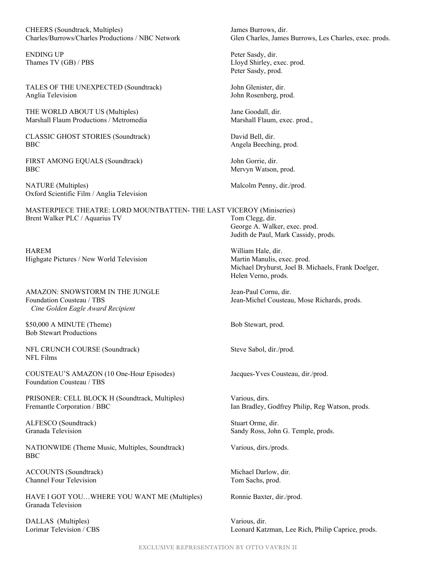CHEERS (Soundtrack, Multiples) James Burrows, dir.

ENDING UP Peter Sasdy, dir.

TALES OF THE UNEXPECTED (Soundtrack) John Glenister, dir. Anglia Television **Anglia Television John Rosenberg**, prod.

THE WORLD ABOUT US (Multiples) Jane Goodall, dir. Marshall Flaum Productions / Metromedia Marshall Flaum, exec. prod.,

CLASSIC GHOST STORIES (Soundtrack) David Bell, dir. BBC Angela Beeching, prod.

FIRST AMONG EQUALS (Soundtrack) John Gorrie, dir. BBC Mervyn Watson, prod.

NATURE (Multiples) Malcolm Penny, dir./prod. Oxford Scientific Film / Anglia Television

MASTERPIECE THEATRE: LORD MOUNTBATTEN- THE LAST VICEROY (Miniseries) Brent Walker PLC / Aquarius TV Tom Clegg, dir.

HAREM William Hale, dir. Highgate Pictures / New World Television Martin Manulis, exec. prod.

AMAZON: SNOWSTORM IN THE JUNGLE Jean-Paul Cornu, dir. Foundation Cousteau / TBS Jean-Michel Cousteau, Mose Richards, prods.  *Cine Golden Eagle Award Recipient*

\$50,000 A MINUTE (Theme) Bob Stewart, prod. Bob Stewart Productions

NFL CRUNCH COURSE (Soundtrack) Steve Sabol, dir./prod. NFL Films

COUSTEAU'S AMAZON (10 One-Hour Episodes) Jacques-Yves Cousteau, dir./prod. Foundation Cousteau / TBS

PRISONER: CELL BLOCK H (Soundtrack, Multiples) Various, dirs. Fremantle Corporation / BBC Ian Bradley, Godfrey Philip, Reg Watson, prods.

ALFESCO (Soundtrack) Stuart Orme, dir.

NATIONWIDE (Theme Music, Multiples, Soundtrack) Various, dirs./prods. BBC

ACCOUNTS (Soundtrack) Michael Darlow, dir. Channel Four Television Tom Sachs, prod.

HAVE I GOT YOU...WHERE YOU WANT ME (Multiples) Ronnie Baxter, dir./prod. Granada Television

DALLAS (Multiples) Various, dir.

Charles/Burrows/Charles Productions / NBC Network Glen Charles, James Burrows, Les Charles, exec. prods.

Thames TV (GB) / PBS Lloyd Shirley, exec. prod. Peter Sasdy, prod.

George A. Walker, exec. prod. Judith de Paul, Mark Cassidy, prods.

Michael Dryhurst, Joel B. Michaels, Frank Doelger, Helen Verno, prods.

Granada Television Sandy Ross, John G. Temple, prods.

Lorimar Television / CBS Leonard Katzman, Lee Rich, Philip Caprice, prods.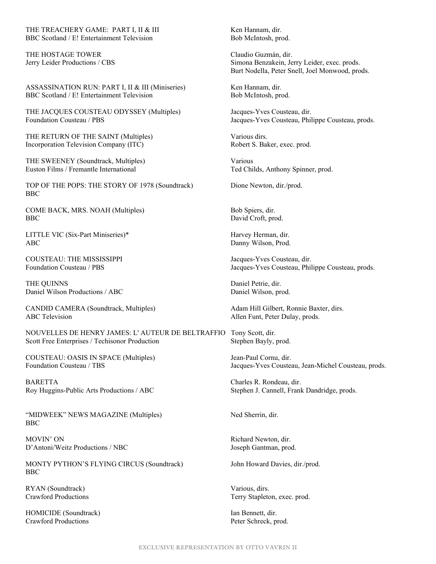THE TREACHERY GAME: PART I, II & III Ken Hannam, dir. BBC Scotland / E! Entertainment Television Bob McIntosh, prod.

THE HOSTAGE TOWER Claudio Guzmán, dir.

ASSASSINATION RUN: PART I, II & III (Miniseries) Ken Hannam, dir. BBC Scotland / E! Entertainment Television Bob McIntosh, prod.

THE JACQUES COUSTEAU ODYSSEY (Multiples) Jacques-Yves Cousteau, dir. Foundation Cousteau / PBS Jacques-Yves Cousteau, Philippe Cousteau, prods.

THE RETURN OF THE SAINT (Multiples) Various dirs. Incorporation Television Company (ITC) Robert S. Baker, exec. prod.

THE SWEENEY (Soundtrack, Multiples) Various Euston Films / Fremantle International Ted Childs, Anthony Spinner, prod.

TOP OF THE POPS: THE STORY OF 1978 (Soundtrack) Dione Newton, dir./prod. BBC

COME BACK, MRS. NOAH (Multiples) Bob Spiers, dir. BBC David Croft, prod.

LITTLE VIC (Six-Part Miniseries)\* Harvey Herman, dir. ABC Danny Wilson, Prod.

COUSTEAU: THE MISSISSIPPI Jacques-Yves Cousteau, dir.

THE OUINNS Daniel Petrie, dir. Daniel Wilson Productions / ABC Daniel Wilson, prod.

CANDID CAMERA (Soundtrack, Multiples) Adam Hill Gilbert, Ronnie Baxter, dirs. ABC Television **Allen Funt, Peter Dulay, prods.** Allen Funt, Peter Dulay, prods.

NOUVELLES DE HENRY JAMES: L' AUTEUR DE BELTRAFFIO Tony Scott, dir. Scott Free Enterprises / Techisonor Production Stephen Bayly, prod.

COUSTEAU: OASIS IN SPACE (Multiples) Jean-Paul Cornu, dir.

BARETTA Charles R. Rondeau, dir. Roy Huggins-Public Arts Productions / ABC Stephen J. Cannell, Frank Dandridge, prods.

"MIDWEEK" NEWS MAGAZINE (Multiples) Ned Sherrin, dir. BBC

MOVIN' ON Richard Newton, dir. D'Antoni/Weitz Productions / NBC Joseph Gantman, prod.

MONTY PYTHON'S FLYING CIRCUS (Soundtrack) John Howard Davies, dir./prod. BBC

RYAN (Soundtrack) Various, dirs.

HOMICIDE (Soundtrack) Ian Bennett, dir.<br>
Crawford Productions Peter Schreck. p

Jerry Leider Productions / CBS Simona Benzakein, Jerry Leider, exec. prods. Burt Nodella, Peter Snell, Joel Monwood, prods.

Foundation Cousteau / PBS Jacques-Yves Cousteau, Philippe Cousteau, prods.

Foundation Cousteau / TBS Jacques-Yves Cousteau, Jean-Michel Cousteau, prods.

Crawford Productions Terry Stapleton, exec. prod.

Peter Schreck, prod.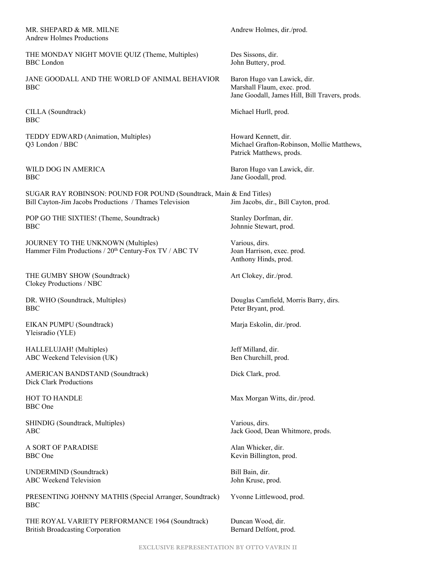#### MR. SHEPARD & MR. MILNE Andrew Holmes, dir./prod. Andrew Holmes Productions

THE MONDAY NIGHT MOVIE QUIZ (Theme, Multiples) Des Sissons, dir. BBC London John Buttery, prod.

JANE GOODALL AND THE WORLD OF ANIMAL BEHAVIOR Baron Hugo van Lawick, dir. BBC Marshall Flaum, exec. prod.

CILLA (Soundtrack) Michael Hurll, prod. BBC

TEDDY EDWARD (Animation, Multiples) Howard Kennett, dir.

BBC Jane Goodall, prod.

SUGAR RAY ROBINSON: POUND FOR POUND (Soundtrack, Main & End Titles) Bill Cayton-Jim Jacobs Productions / Thames Television Jim Jacobs, dir., Bill Cayton, prod.

POP GO THE SIXTIES! (Theme, Soundtrack) Stanley Dorfman, dir. BBC Johnnie Stewart, prod.

JOURNEY TO THE UNKNOWN (Multiples) Various, dirs.<br>
Hammer Film Productions / 20<sup>th</sup> Century-Fox TV / ABC TV Joan Harrison, exec. prod. Hammer Film Productions / 20<sup>th</sup> Century-Fox TV / ABC TV

THE GUMBY SHOW (Soundtrack) Art Clokey, dir./prod. Clokey Productions / NBC

BBC Peter Bryant, prod.

EIKAN PUMPU (Soundtrack) Marja Eskolin, dir./prod. Yleisradio (YLE)

HALLELUJAH! (Multiples) Jeff Milland, dir. ABC Weekend Television (UK) Ben Churchill, prod.

AMERICAN BANDSTAND (Soundtrack) Dick Clark, prod. Dick Clark Productions

BBC One

SHINDIG (Soundtrack, Multiples) Various, dirs.

A SORT OF PARADISE Alan Whicker, dir. BBC One Kevin Billington, prod.

UNDERMIND (Soundtrack) Bill Bain, dir. ABC Weekend Television and ABC Weekend Television and ABC Weekend Television

PRESENTING JOHNNY MATHIS (Special Arranger, Soundtrack) Yvonne Littlewood, prod. BBC

THE ROYAL VARIETY PERFORMANCE 1964 (Soundtrack) Duncan Wood, dir. British Broadcasting Corporation Bernard Delfont, prod.

Jane Goodall, James Hill, Bill Travers, prods.

Q3 London / BBC Michael Grafton-Robinson, Mollie Matthews, Patrick Matthews, prods.

WILD DOG IN AMERICA Baron Hugo van Lawick, dir.

Anthony Hinds, prod.

DR. WHO (Soundtrack, Multiples) Douglas Camfield, Morris Barry, dirs.

HOT TO HANDLE Max Morgan Witts, dir./prod.

ABC Jack Good, Dean Whitmore, prods.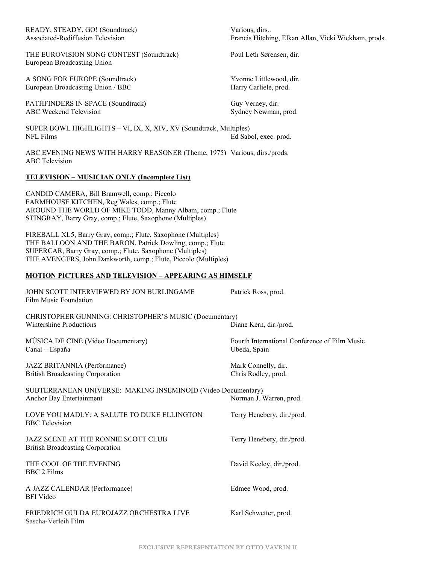| READY, STEADY, GO! (Soundtrack)   |
|-----------------------------------|
| Associated-Rediffusion Television |

THE EUROVISION SONG CONTEST (Soundtrack) Poul Leth Sørensen, dir. European Broadcasting Union

A SONG FOR EUROPE (Soundtrack) Yvonne Littlewood, dir. European Broadcasting Union / BBC Harry Carliele, prod.

PATHFINDERS IN SPACE (Soundtrack) Guy Verney, dir. ABC Weekend Television Sydney Newman, prod.

SUPER BOWL HIGHLIGHTS – VI, IX, X, XIV, XV (Soundtrack, Multiples) NFL Films Ed Sabol, exec. prod.

ABC EVENING NEWS WITH HARRY REASONER (Theme, 1975) Various, dirs./prods. ABC Television

#### **TELEVISION – MUSICIAN ONLY (Incomplete List)**

CANDID CAMERA, Bill Bramwell, comp.; Piccolo FARMHOUSE KITCHEN, Reg Wales, comp.; Flute AROUND THE WORLD OF MIKE TODD, Manny Albam, comp.; Flute STINGRAY, Barry Gray, comp.; Flute, Saxophone (Multiples)

FIREBALL XL5, Barry Gray, comp.; Flute, Saxophone (Multiples) THE BALLOON AND THE BARON, Patrick Dowling, comp.; Flute SUPERCAR, Barry Gray, comp.; Flute, Saxophone (Multiples) THE AVENGERS, John Dankworth, comp.; Flute, Piccolo (Multiples)

#### **MOTION PICTURES AND TELEVISION – APPEARING AS HIMSELF**

| JOHN SCOTT INTERVIEWED BY JON BURLINGAME<br>Film Music Foundation                        | Patrick Ross, prod.                                           |
|------------------------------------------------------------------------------------------|---------------------------------------------------------------|
| CHRISTOPHER GUNNING: CHRISTOPHER'S MUSIC (Documentary)<br>Wintershine Productions        | Diane Kern, dir./prod.                                        |
| MÚSICA DE CINE (Video Documentary)<br>Canal + España                                     | Fourth International Conference of Film Music<br>Ubeda, Spain |
| JAZZ BRITANNIA (Performance)<br><b>British Broadcasting Corporation</b>                  | Mark Connelly, dir.<br>Chris Rodley, prod.                    |
| SUBTERRANEAN UNIVERSE: MAKING INSEMINOID (Video Documentary)<br>Anchor Bay Entertainment | Norman J. Warren, prod.                                       |
| LOVE YOU MADLY: A SALUTE TO DUKE ELLINGTON<br><b>BBC</b> Television                      | Terry Henebery, dir./prod.                                    |
| JAZZ SCENE AT THE RONNIE SCOTT CLUB<br><b>British Broadcasting Corporation</b>           | Terry Henebery, dir./prod.                                    |
| THE COOL OF THE EVENING<br>BBC 2 Films                                                   | David Keeley, dir./prod.                                      |
| A JAZZ CALENDAR (Performance)<br><b>BFI</b> Video                                        | Edmee Wood, prod.                                             |
| FRIEDRICH GULDA EUROJAZZ ORCHESTRA LIVE<br>Sascha-Verleih Film                           | Karl Schwetter, prod.                                         |

Various, dirs.. Francis Hitching, Elkan Allan, Vicki Wickham, prods.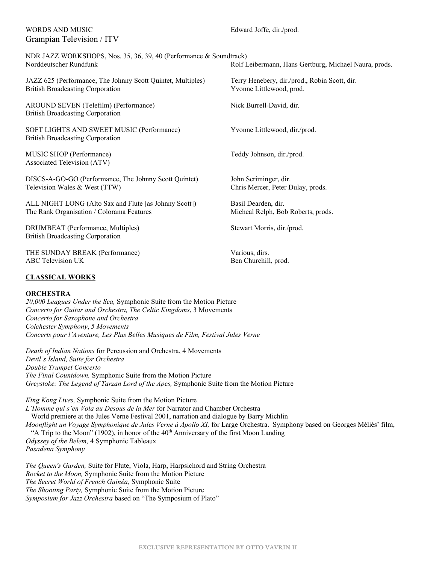#### WORDS AND MUSIC **Edward Joffe**, dir./prod. Grampian Television / ITV

| NDR JAZZ WORKSHOPS, Nos. 35, 36, 39, 40 (Performance & Soundtrack)<br>Norddeutscher Rundfunk           | Rolf Leibermann, Hans Gertburg, Michael Naura, prods.                     |
|--------------------------------------------------------------------------------------------------------|---------------------------------------------------------------------------|
| JAZZ 625 (Performance, The Johnny Scott Quintet, Multiples)<br><b>British Broadcasting Corporation</b> | Terry Henebery, dir./prod., Robin Scott, dir.<br>Yvonne Littlewood, prod. |
| AROUND SEVEN (Telefilm) (Performance)<br><b>British Broadcasting Corporation</b>                       | Nick Burrell-David, dir.                                                  |
| SOFT LIGHTS AND SWEET MUSIC (Performance)<br><b>British Broadcasting Corporation</b>                   | Yvonne Littlewood, dir./prod.                                             |
| MUSIC SHOP (Performance)<br>Associated Television (ATV)                                                | Teddy Johnson, dir./prod.                                                 |
| DISCS-A-GO-GO (Performance, The Johnny Scott Quintet)<br>Television Wales & West (TTW)                 | John Scriminger, dir.<br>Chris Mercer, Peter Dulay, prods.                |
| ALL NIGHT LONG (Alto Sax and Flute [as Johnny Scott])<br>The Rank Organisation / Colorama Features     | Basil Dearden, dir.<br>Micheal Relph, Bob Roberts, prods.                 |
| DRUMBEAT (Performance, Multiples)<br><b>British Broadcasting Corporation</b>                           | Stewart Morris, dir./prod.                                                |
| THE SUNDAY BREAK (Performance)                                                                         | Various, dirs.                                                            |

#### **CLASSICAL WORKS**

#### **ORCHESTRA**

*20,000 Leagues Under the Sea,* Symphonic Suite from the Motion Picture *Concerto for Guitar and Orchestra, The Celtic Kingdoms*, 3 Movements *Concerto for Saxophone and Orchestra Colchester Symphony*, *5 Movements Concerts pour l'Aventure, Les Plus Belles Musiques de Film, Festival Jules Verne*

ABC Television UK Ben Churchill, prod.

*Death of Indian Nations* for Percussion and Orchestra, 4 Movements *Devil's Island, Suite for Orchestra Double Trumpet Concerto The Final Countdown,* Symphonic Suite from the Motion Picture *Greystoke: The Legend of Tarzan Lord of the Apes,* Symphonic Suite from the Motion Picture

*King Kong Lives,* Symphonic Suite from the Motion Picture *L'Homme qui s'en Vola au Desous de la Mer* for Narrator and Chamber Orchestra World premiere at the Jules Verne Festival 2001, narration and dialogue by Barry Michlin *Moonflight un Voyage Symphonique de Jules Verne à Apollo XI,* for Large Orchestra. Symphony based on Georges Méliès' film, "A Trip to the Moon" (1902), in honor of the 40<sup>th</sup> Anniversary of the first Moon Landing *Odyssey of the Belem,* 4 Symphonic Tableaux *Pasadena Symphony*

*The Queen's Garden,* Suite for Flute, Viola, Harp, Harpsichord and String Orchestra *Rocket to the Moon,* Symphonic Suite from the Motion Picture *The Secret World of French Guinéa,* Symphonic Suite *The Shooting Party,* Symphonic Suite from the Motion Picture *Symposium for Jazz Orchestra* based on "The Symposium of Plato"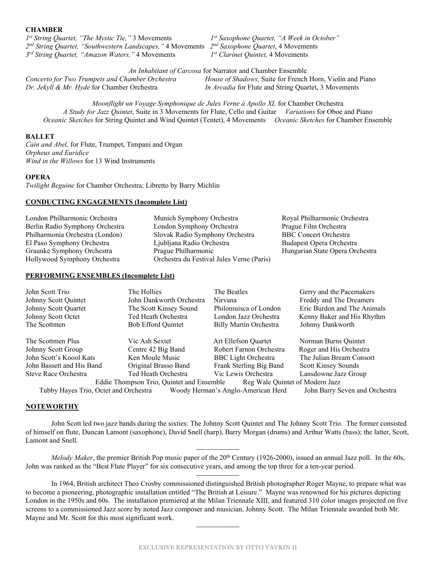#### **CHAMBER**

*1st String Quartet, "The Mystic Tie,"* 3 Movements *1st Saxophone Quartet, "A Week in October" 2nd String Quartet, "Southwestern Landscapes,"* 4 Movements *2nd Saxophone Quartet*, 4 Movements *3rd String Quartet, "Amazon Waters,"* 4 Movements *1st Clarinet Quintet,* 4 Movements

*An Inhabitant of Carcosa* for Narrator and Chamber Ensemble<br>*Concerto for Two Trumpets and Chamber Orchestra House of Shadows*, Suite for French *House of Shadows, Suite for French Horn, Violin and Piano Dr. Jekyll & Mr. Hyde* for Chamber Orchestra *In Arcadia* for Flute and String Quartet, 3 Movements

*Moonflight un Voyage Symphonique de Jules Verne à Apollo XI,* for Chamber Orchestra *A Study for Jazz Quintet*, Suite in 3 Movements for Flute, Cello and Guitar *Variations* for Oboe and Piano *Oceanic Sketches* for String Quintet and Wind Quintet (Tentet), 4 Movements *Oceanic Sketches* for Chamber Ensemble

#### **BALLET**

*Cain and Abel,* for Flute, Trumpet, Timpani and Organ *Orpheus and Euridice Wind in the Willows* for 13 Wind Instruments

#### **OPERA**

*Twilight Beguine* for Chamber Orchestra; Libretto by Barry Michlin

#### **CONDUCTING ENGAGEMENTS (Incomplete List)**

| London Philharmonic Orchestra   | Munich Symphony Orchestra                 | Royal Philharmonic Orchestra    |
|---------------------------------|-------------------------------------------|---------------------------------|
| Berlin Radio Symphony Orchestra | London Symphony Orchestra                 | Prague Film Orchestra           |
| Philharmonia Orchestra (London) | Slovak Radio Symphony Orchestra           | <b>BBC</b> Concert Orchestra    |
| El Paso Symphony Orchestra      | Ljubljana Radio Orchestra                 | Budapest Opera Orchestra        |
| Graunke Symphony Orchestra      | Prague Philharmonic                       | Hungarian State Opera Orchestra |
| Hollywood Symphony Orchestra    | Orchestra du Festival Jules Verne (Paris) |                                 |

#### **PERFORMING ENSEMBLES (Incomplete List)**

| John Scott Trio                                                              | The Hollies               | The Beatles                   | Gerry and the Pacemakers    |  |
|------------------------------------------------------------------------------|---------------------------|-------------------------------|-----------------------------|--|
| Johnny Scott Quintet                                                         | John Dankworth Orchestra  | Nirvana                       | Freddy and The Dreamers     |  |
| Johnny Scott Quartet                                                         | The Scott Kinsey Sound    | Philomuisca of London         | Eric Burdon and The Animals |  |
| Johnny Scott Octet                                                           | Ted Heath Orchestra       | London Jazz Orchestra         | Kenny Baker and His Rhythm  |  |
| The Scottmen                                                                 | <b>Bob Efford Quintet</b> | <b>Billy Martin Orchestra</b> | Johnny Dankworth            |  |
| The Scottmen Plus                                                            | Vic Ash Sextet            | Art Ellefson Quartet          | Norman Burns Quintet        |  |
| Johnny Scott Group                                                           | Centre 42 Big Band        | Robert Farnon Orchestra       | Roger and His Orchestra     |  |
| John Scott's Koool Kats                                                      | Ken Moule Music           | <b>BBC</b> Light Orchestra    | The Julian Bream Consort    |  |
| John Bassett and His Band                                                    | Original Brasso Band      | Frank Sterling Big Band       | Scott Kinsey Sounds         |  |
| Steve Race Orchestra                                                         | Ted Heath Orchestra       | Vic Lewis Orchestra           | Lansdowne Jazz Group        |  |
| Reg Wale Quintet of Modern Jazz<br>Eddie Thompson Trio, Quintet and Ensemble |                           |                               |                             |  |

Tubby Hayes Trio, Octet and Orchestra Woody Herman's Anglo-American Herd John Barry Seven and Orchestra

#### **NOTEWORTHY**

 John Scott led two jazz bands during the sixties: The Johnny Scott Quintet and The Johnny Scott Trio. The former consisted of himself on flute, Duncan Lamont (saxophone), David Snell (harp), Barry Morgan (drums) and Arthur Watts (bass); the latter, Scott, Lamont and Snell.

 *Melody Maker*, the premier British Pop music paper of the 20<sup>th</sup> Century (1926-2000), issued an annual Jazz poll. In the 60s, John was ranked as the "Best Flute Player" for six consecutive years, and among the top three for a ten-year period.

In 1964, British architect Theo Crosby commissioned distinguished British photographer Roger Mayne, to prepare what was to become a pioneering, photographic installation entitled "The British at Leisure." Mayne was renowned for his pictures depicting London in the 1950s and 60s. The installation premiered at the Milan Triennale XIII, and featured 310 color images projected on five screens to a commissioned Jazz score by noted Jazz composer and musician, Johnny Scott. The Milan Triennale awarded both Mr. Mayne and Mr. Scott for this most significant work.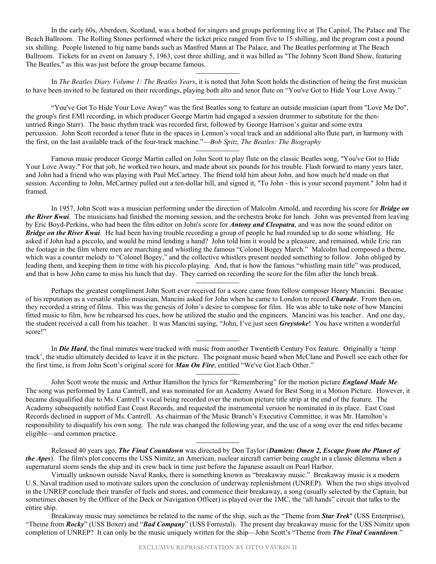In the early 60s, Aberdeen, Scotland, was a hotbed for singers and groups performing live at The Capitol, The Palace and The Beach Ballroom. The Rolling Stones performed where the ticket price ranged from five to 15 shilling, and the program cost a pound six shilling. People listened to big name bands such as Manfred Mann at The Palace, and The Beatles performing at The Beach Ballroom. Tickets for an event on January 5, 1963, cost three shilling, and it was billed as "The Johnny Scott Band Show, featuring The Beatles," as this was just before the group became famous.

 In *The Beatles Diary Volume 1: The Beatles Years*, it is noted that John Scott holds the distinction of being the first musician to have been invited to be featured on their recordings, playing both alto and tenor flute on "You've Got to Hide Your Love Away." 

 "You've Got To Hide Your Love Away" was the first Beatles song to feature an outside musician (apart from "Love Me Do", the group's first EMI recording, in which producer George Martin had engaged a session drummer to substitute for the thenuntried Ringo Starr). The basic rhythm track was recorded first, followed by George Harrison's guitar and some extra percussion. John Scott recorded a tenor flute in the spaces in Lennon's vocal track and an additional alto flute part, in harmony with the first, on the last available track of the four-track machine."—*Bob Spitz, The Beatles: The Biography*

Famous music producer George Martin called on John Scott to play flute on the classic Beatles song, "You've Got to Hide Your Love Away." For that job, he worked two hours, and made about six pounds for his trouble. Flash forward to many years later, and John had a friend who was playing with Paul McCartney. The friend told him about John, and how much he'd made on that session. According to John, McCartney pulled out a ten-dollar bill, and signed it, "To John - this is your second payment." John had it framed.

In 1957, John Scott was a musician performing under the direction of Malcolm Arnold, and recording his score for *Bridge on the River Kwai*. The musicians had finished the morning session, and the orchestra broke for lunch. John was prevented from leaving by Eric Boyd-Perkins, who had been the film editor on John's score for *Antony and Cleopatra*, and was now the sound editor on *Bridge on the River Kwai*. He had been having trouble recording a group of people he had rounded up to do some whistling. He asked if John had a piccolo, and would he mind lending a hand? John told him it would be a pleasure, and remained, while Eric ran the footage in the film where men are marching and whistling the famous "Colonel Bogey March." Malcolm had composed a theme, which was a counter melody to "Colonel Bogey," and the collective whistlers present needed something to follow. John obliged by leading them, and keeping them in time with his piccolo playing. And, that is how the famous "whistling main title" was produced, and that is how John came to miss his lunch that day. They carried on recording the score for the film after the lunch break.

 Perhaps the greatest compliment John Scott ever received for a score came from fellow composer Henry Mancini. Because of his reputation as a versatile studio musician, Mancini asked for John when he came to London to record *Charade*. From then on, they recorded a string of films. This was the genesis of John's desire to compose for film. He was able to take note of how Mancini fitted music to film, how he rehearsed his cues, how he utilized the studio and the engineers. Mancini was his teacher. And one day, the student received a call from his teacher. It was Mancini saying, "John, I've just seen *Greystoke*! You have written a wonderful score!"

In *Die Hard*, the final minutes were tracked with music from another Twentieth Century Fox feature. Originally a 'temp track', the studio ultimately decided to leave it in the picture. The poignant music heard when McClane and Powell see each other for the first time, is from John Scott's original score for *Man On Fire*, entitled "We've Got Each Other."

 John Scott wrote the music and Arthur Hamilton the lyrics for "Remembering" for the motion picture *England Made Me*. The song was performed by Lana Cantrell, and was nominated for an Academy Award for Best Song in a Motion Picture. However, it became disqualified due to Ms. Cantrell's vocal being recorded over the motion picture title strip at the end of the feature. The Academy subsequently notified East Coast Records, and requested the instrumental version be nominated in its place. East Coast Records declined in support of Ms. Cantrell. As chairman of the Music Branch's Executive Committee, it was Mr. Hamilton's responsibility to disqualify his own song. The rule was changed the following year, and the use of a song over the end titles became eligible—and common practice.

 Released 40 years ago, *The Final Countdown* was directed by Don Taylor (*Damien: Omen 2, Escape from the Planet of the Apes*). The film's plot concerns the USS Nimitz, an American, nuclear aircraft carrier being caught in a classic dilemma when a supernatural storm sends the ship and its crew back in time just before the Japanese assault on Pearl Harbor.

 Virtually unknown outside Naval Ranks, there is something known as "breakaway music." Breakaway music is a modern U.S. Naval tradition used to motivate sailors upon the conclusion of underway replenishment (UNREP). When the two ships involved in the UNREP conclude their transfer of fuels and stores, and commence their breakaway, a song (usually selected by the Captain, but sometimes chosen by the Officer of the Deck or Navigation Officer) is played over the 1MC, the "all hands" circuit that talks to the entire ship.

 Breakaway music may sometimes be related to the name of the ship, such as the "Theme from *Star Trek*" (USS Enterprise), "Theme from *Rocky*" (USS Boxer) and "*Bad Company*" (USS Forrestal). The present day breakaway music for the USS Nimitz upon completion of UNREP? It can only be the music uniquely written for the ship—John Scott's "Theme from *The Final Countdown*."